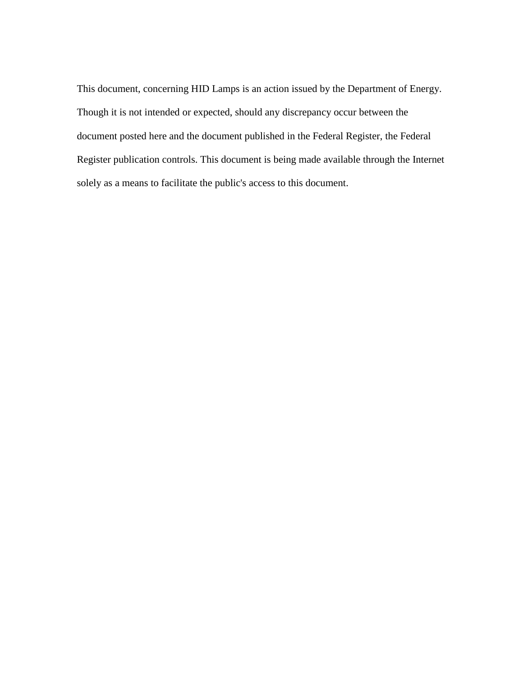This document, concerning HID Lamps is an action issued by the Department of Energy. Register publication controls. This document is being made available through the Internet Though it is not intended or expected, should any discrepancy occur between the document posted here and the document published in the Federal Register, the Federal solely as a means to facilitate the public's access to this document.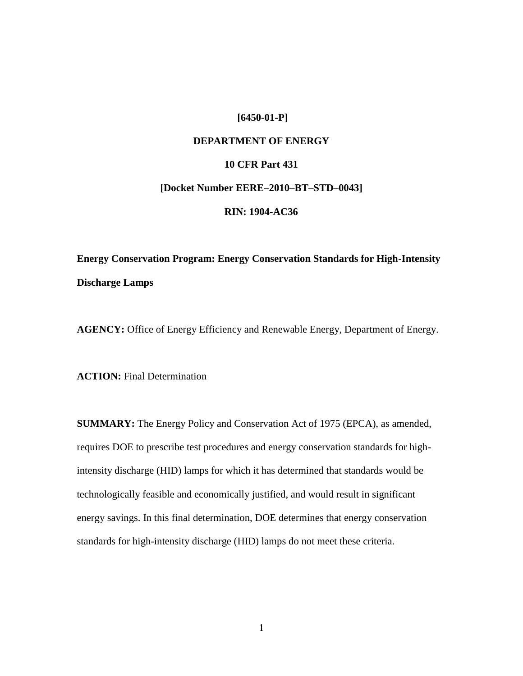# **[6450-01-P]**

# **DEPARTMENT OF ENERGY**

# **10 CFR Part 431**

#### **[Docket Number EERE**–**2010**–**BT**–**STD**–**0043]**

#### **RIN: 1904-AC36**

# **Energy Conservation Program: Energy Conservation Standards for High-Intensity Discharge Lamps**

**AGENCY:** Office of Energy Efficiency and Renewable Energy, Department of Energy.

**ACTION:** Final Determination

 **SUMMARY:** The Energy Policy and Conservation Act of 1975 (EPCA), as amended, standards for high-intensity discharge (HID) lamps do not meet these criteria. requires DOE to prescribe test procedures and energy conservation standards for highintensity discharge (HID) lamps for which it has determined that standards would be technologically feasible and economically justified, and would result in significant energy savings. In this final determination, DOE determines that energy conservation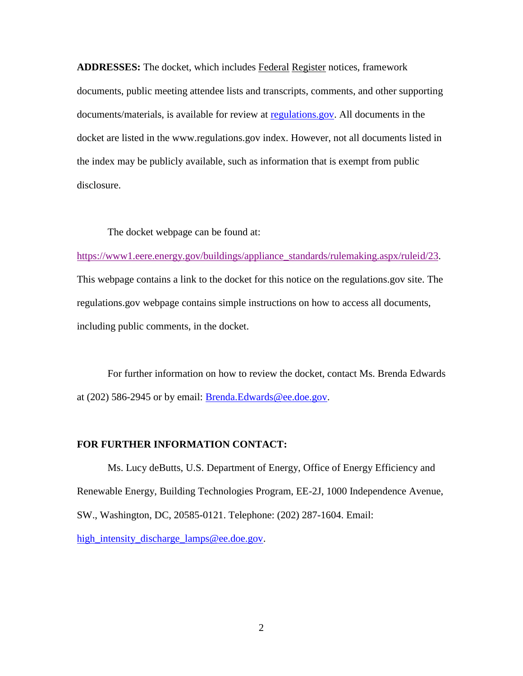**ADDRESSES:** The docket, which includes Federal Register notices, framework documents, public meeting attendee lists and transcripts, comments, and other supporting documents/materials, is available for review at [regulations.gov.](http://www.regulations.gov/) All documents in the docket are listed in the www.regulations.gov index. However, not all documents listed in the index may be publicly available, such as information that is exempt from public disclosure.

The docket webpage can be found at:

 This webpage contains a link to the docket for this notice on the regulations.gov site. The [https://www1.eere.energy.gov/buildings/appliance\\_standards/rulemaking.aspx/ruleid/23.](https://www1.eere.energy.gov/buildings/appliance_standards/rulemaking.aspx/ruleid/23) regulations.gov webpage contains simple instructions on how to access all documents, including public comments, in the docket.

at (202) 586-2945 or by email: **Brenda.Edwards@ee.doe.gov.** For further information on how to review the docket, contact Ms. Brenda Edwards

#### **FOR FURTHER INFORMATION CONTACT:**

Ms. Lucy deButts, U.S. Department of Energy, Office of Energy Efficiency and Renewable Energy, Building Technologies Program, EE-2J, 1000 Independence Avenue, SW., Washington, DC, 20585-0121. Telephone: (202) 287-1604. Email: [high\\_intensity\\_discharge\\_lamps@ee.doe.gov.](mailto:high_intensity_discharge_lamps@ee.doe.gov)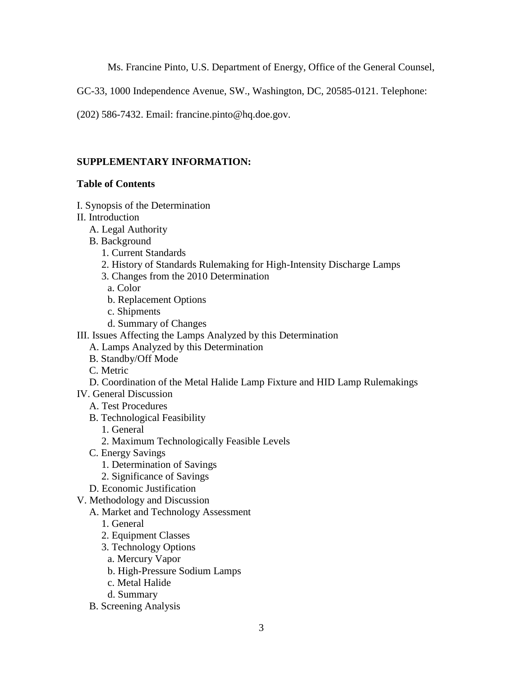Ms. Francine Pinto, U.S. Department of Energy, Office of the General Counsel,

GC-33, 1000 Independence Avenue, SW., Washington, DC, 20585-0121. Telephone:

(202) 586-7432. Email: francine.pinto@hq.doe.gov.

# **SUPPLEMENTARY INFORMATION:**

# **Table of Contents**

- [I. Synopsis of the Determination](#page-5-0)
- [II. Introduction](#page-5-1) 
	- [A. Legal Authority](#page-5-2)
	- [B. Background](#page-6-0) 
		- [1. Current Standards](#page-6-1)
		- [2. History of Standards Rulemaking for High-Intensity Discharge Lamps](#page-6-2)
		- [3. Changes from the 2010 Determination](#page-9-0)
		- [a. Color](#page-10-0)
		- [b. Replacement Options](#page-11-0)
		- [c. Shipments](#page-12-0)
		- [d. Summary of Changes](#page-12-1)
- [III. Issues Affecting the Lamps Analyzed by this Determination](#page-13-0) 
	- [A. Lamps Analyzed by this Determination](#page-13-1)
	- [B. Standby/Off Mode](#page-16-0)
	- [C. Metric](#page-17-0)
	- [D. Coordination of the Metal Halide Lamp Fixture and HID Lamp Rulemakings](#page-17-1)
- [IV. General Discussion](#page-17-2) 
	- [A. Test Procedures](#page-17-3)
	- [B. Technological Feasibility](#page-18-0) 
		- [1. General](#page-18-1)
		- [2. Maximum Technologically Feasible Levels](#page-19-0)
	- [C. Energy Savings](#page-20-0) 
		- [1. Determination of Savings](#page-20-1)
		- [2. Significance of Savings](#page-22-0)
	- [D. Economic Justification](#page-22-1)
- [V. Methodology and Discussion](#page-23-0) 
	- [A. Market and Technology Assessment](#page-23-1) 
		- [1. General](#page-23-2)
		- [2. Equipment Classes](#page-23-3)
		- [3. Technology Options](#page-25-0)
		- [a. Mercury Vapor](#page-25-1)
		- [b. High-Pressure Sodium Lamps](#page-25-2)
		- [c. Metal Halide](#page-27-0)
		- [d. Summary](#page-27-1)
	- [B. Screening Analysis](#page-28-0)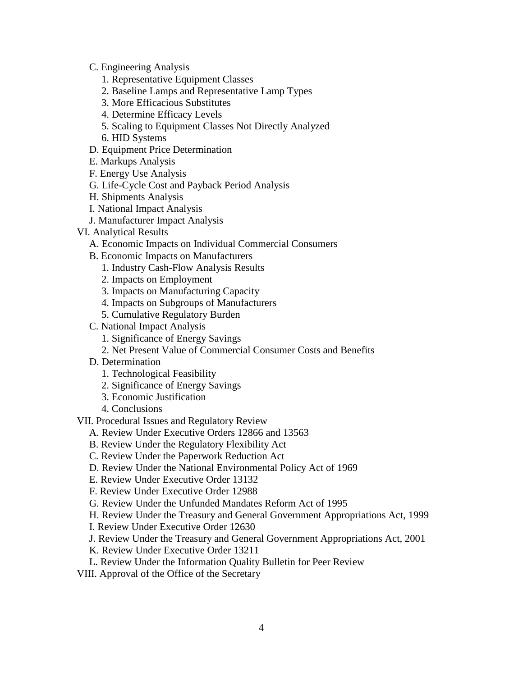[C. Engineering Analysis](#page-30-0) 

- [1. Representative Equipment Classes](#page-30-1)
- [2. Baseline Lamps and Representative Lamp Types](#page-30-2)
- [3. More Efficacious Substitutes](#page-32-0)
- [4. Determine Efficacy Levels](#page-33-0)
- [5. Scaling to Equipment Classes Not Directly Analyzed](#page-34-0)
- [6. HID Systems](#page-34-1)
- [D. Equipment Price Determination](#page-35-0)
- [E. Markups Analysis](#page-36-0)
- [F. Energy Use Analysis](#page-36-1)
- [G. Life-Cycle Cost and Payback Period Analysis](#page-37-0)
- [H. Shipments Analysis](#page-37-1)
- [I. National Impact Analysis](#page-38-0)
- [J. Manufacturer Impact Analysis](#page-38-1)
- [VI. Analytical Results](#page-39-0) 
	- [A. Economic Impacts on Individual Commercial Consumers](#page-39-1)
	- [B. Economic Impacts on Manufacturers](#page-44-0) 
		- [1. Industry Cash-Flow Analysis Results](#page-44-1)
		- [2. Impacts on Employment](#page-47-0)
		- [3. Impacts on Manufacturing Capacity](#page-49-0)
		- [4. Impacts on Subgroups of Manufacturers](#page-50-0)
		- [5. Cumulative Regulatory Burden](#page-50-1)
	- [C. National Impact Analysis](#page-51-0) 
		- [1. Significance of Energy Savings](#page-51-1)
		- [2. Net Present Value of Commercial Consumer Costs and Benefits](#page-52-0)
	- [D. Determination](#page-53-0) 
		- [1. Technological Feasibility](#page-54-0)
		- [2. Significance of Energy Savings](#page-54-1)
		- [3. Economic Justification](#page-55-0)
		- [4. Conclusions](#page-59-0)
- [VII. Procedural Issues and Regulatory Review](#page-60-0) 
	- [A. Review Under Executive Orders 12866 and 13563](#page-60-1)
	- [B. Review Under the Regulatory Flexibility Act](#page-60-2)
	- [C. Review Under the Paperwork Reduction Act](#page-61-0)
	- [D. Review Under the National Environmental Policy Act of 1969](#page-61-1)
	- [E. Review Under Executive Order 13132](#page-62-0)
	- [F. Review Under Executive Order 12988](#page-63-0)
	- [G. Review Under the Unfunded Mandates Reform Act of 1995](#page-64-0)
	- [H. Review Under the Treasury and General Government Appropriations Act, 1999](#page-65-0)
	- [I. Review Under Executive Order 12630](#page-65-1)
	- [J. Review Under the Treasury and General Government Appropriations Act, 2001](#page-65-2)
	- [K. Review Under Executive Order 13211](#page-66-0)
	- [L. Review Under the Information Quality Bulletin for Peer Review](#page-66-1)
- VIII. Approval of the Office of the Secretary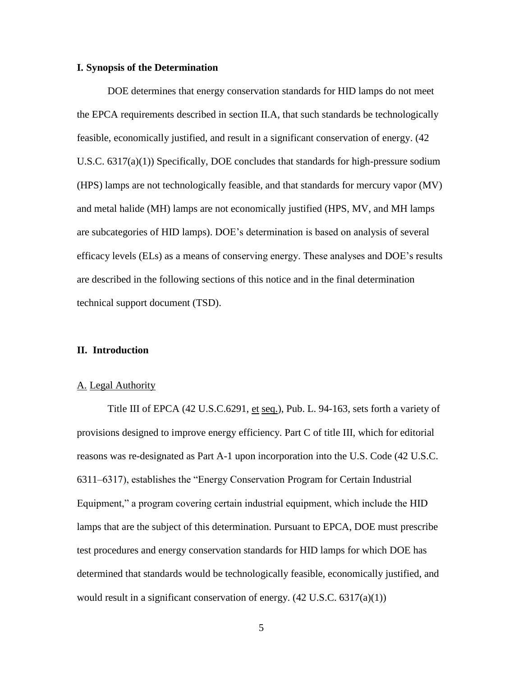#### <span id="page-5-0"></span>**I. Synopsis of the Determination**

 DOE determines that energy conservation standards for HID lamps do not meet (HPS) lamps are not technologically feasible, and that standards for mercury vapor (MV) and metal halide (MH) lamps are not economically justified (HPS, MV, and MH lamps are described in the following sections of this notice and in the final determination the EPCA requirements described in section [II.A,](#page-5-2) that such standards be technologically feasible, economically justified, and result in a significant conservation of energy. (42 U.S.C.  $6317(a)(1)$ ) Specifically, DOE concludes that standards for high-pressure sodium are subcategories of HID lamps). DOE's determination is based on analysis of several efficacy levels (ELs) as a means of conserving energy. These analyses and DOE's results technical support document (TSD).

#### <span id="page-5-1"></span>**II. Introduction**

#### <span id="page-5-2"></span>A. Legal Authority

 lamps that are the subject of this determination. Pursuant to EPCA, DOE must prescribe would result in a significant conservation of energy.  $(42 \text{ U.S.C. } 6317(a)(1))$ <br>5 Title III of EPCA (42 U.S.C.6291, et seq.), Pub. L. 94-163, sets forth a variety of provisions designed to improve energy efficiency. Part C of title III, which for editorial reasons was re-designated as Part A-1 upon incorporation into the U.S. Code (42 U.S.C. 6311–6317), establishes the "Energy Conservation Program for Certain Industrial Equipment," a program covering certain industrial equipment, which include the HID test procedures and energy conservation standards for HID lamps for which DOE has determined that standards would be technologically feasible, economically justified, and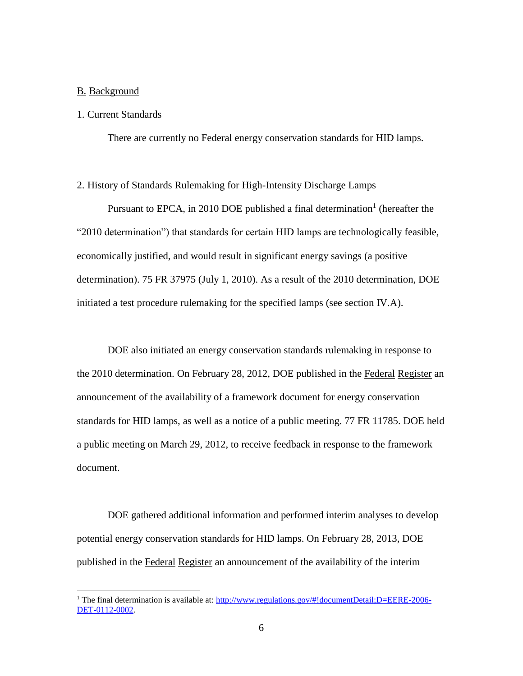# <span id="page-6-0"></span>B. Background

 $\overline{a}$ 

#### <span id="page-6-1"></span>1. Current Standards

There are currently no Federal energy conservation standards for HID lamps.

#### <span id="page-6-2"></span>2. History of Standards Rulemaking for High-Intensity Discharge Lamps

 initiated a test procedure rulemaking for the specified lamps (see section [IV.A\)](#page-17-3). Pursuant to EPCA, in 2010 DOE published a final determination<sup>1</sup> (hereafter the "2010 determination") that standards for certain HID lamps are technologically feasible, economically justified, and would result in significant energy savings (a positive determination). 75 FR 37975 (July 1, 2010). As a result of the 2010 determination, DOE

the 2010 determination. On February 28, 2012, DOE published in the Federal Register an standards for HID lamps, as well as a notice of a public meeting. 77 FR 11785. DOE held DOE also initiated an energy conservation standards rulemaking in response to announcement of the availability of a framework document for energy conservation a public meeting on March 29, 2012, to receive feedback in response to the framework document.

published in the Federal Register an announcement of the availability of the interim DOE gathered additional information and performed interim analyses to develop potential energy conservation standards for HID lamps. On February 28, 2013, DOE

<sup>&</sup>lt;sup>1</sup> The final determination is available at: http://www.regulations.gov/#!documentDetail:D=EERE-2006-[DET-0112-0002.](http://www.regulations.gov/#!documentDetail;D=EERE-2006-DET-0112-0002)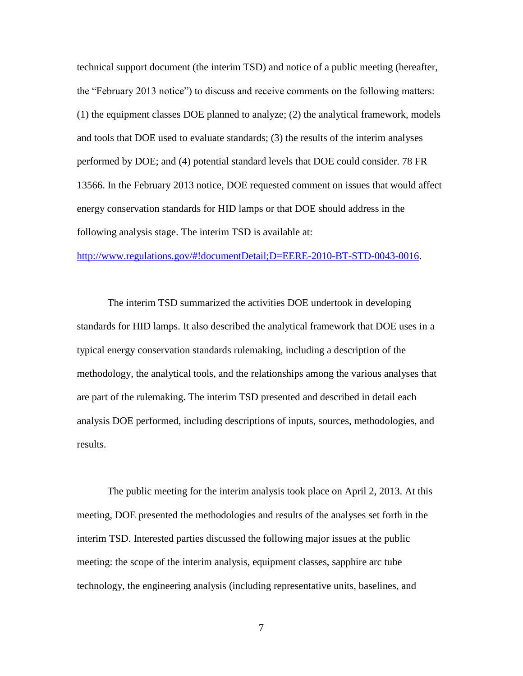technical support document (the interim TSD) and notice of a public meeting (hereafter, the "February 2013 notice") to discuss and receive comments on the following matters: (1) the equipment classes DOE planned to analyze; (2) the analytical framework, models and tools that DOE used to evaluate standards; (3) the results of the interim analyses performed by DOE; and (4) potential standard levels that DOE could consider. 78 FR 13566. In the February 2013 notice, DOE requested comment on issues that would affect energy conservation standards for HID lamps or that DOE should address in the following analysis stage. The interim TSD is available at:

[http://www.regulations.gov/#!documentDetail;D=EERE-2010-BT-STD-0043-0016.](http://www.regulations.gov/#!documentDetail;D=EERE-2010-BT-STD-0043-0016)

The interim TSD summarized the activities DOE undertook in developing standards for HID lamps. It also described the analytical framework that DOE uses in a typical energy conservation standards rulemaking, including a description of the methodology, the analytical tools, and the relationships among the various analyses that are part of the rulemaking. The interim TSD presented and described in detail each analysis DOE performed, including descriptions of inputs, sources, methodologies, and results.

 interim TSD. Interested parties discussed the following major issues at the public technology, the engineering analysis (including representative units, baselines, and The public meeting for the interim analysis took place on April 2, 2013. At this meeting, DOE presented the methodologies and results of the analyses set forth in the meeting: the scope of the interim analysis, equipment classes, sapphire arc tube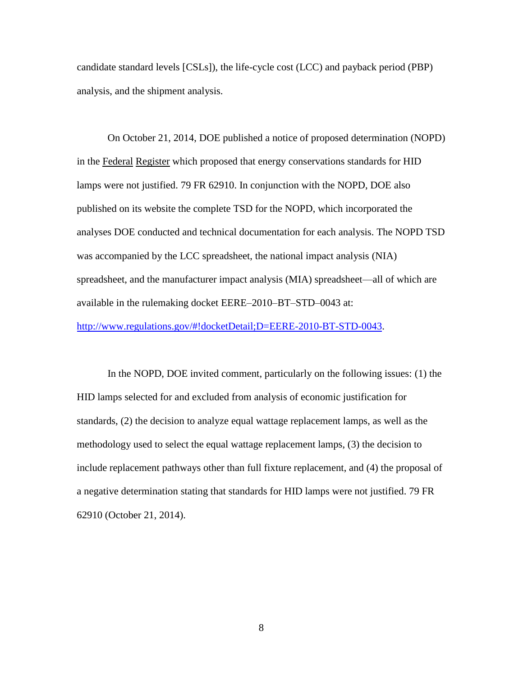candidate standard levels [CSLs]), the life-cycle cost (LCC) and payback period (PBP) analysis, and the shipment analysis.

in the Federal Register which proposed that energy conservations standards for HID spreadsheet, and the manufacturer impact analysis (MIA) spreadsheet—all of which are available in the rulemaking docket EERE–2010–BT–STD–0043 at: On October 21, 2014, DOE published a notice of proposed determination (NOPD) lamps were not justified. 79 FR 62910. In conjunction with the NOPD, DOE also published on its website the complete TSD for the NOPD, which incorporated the analyses DOE conducted and technical documentation for each analysis. The NOPD TSD was accompanied by the LCC spreadsheet, the national impact analysis (NIA)

[http://www.regulations.gov/#!docketDetail;D=EERE-2010-BT-STD-0043.](http://www.regulations.gov/#!docketDetail;D=EERE-2010-BT-STD-0043)

In the NOPD, DOE invited comment, particularly on the following issues: (1) the HID lamps selected for and excluded from analysis of economic justification for standards, (2) the decision to analyze equal wattage replacement lamps, as well as the methodology used to select the equal wattage replacement lamps, (3) the decision to include replacement pathways other than full fixture replacement, and (4) the proposal of a negative determination stating that standards for HID lamps were not justified. 79 FR 62910 (October 21, 2014).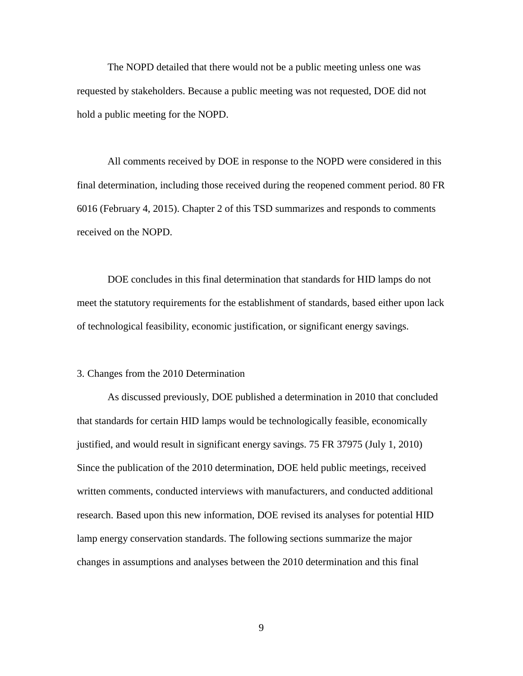hold a public meeting for the NOPD. The NOPD detailed that there would not be a public meeting unless one was requested by stakeholders. Because a public meeting was not requested, DOE did not

 All comments received by DOE in response to the NOPD were considered in this final determination, including those received during the reopened comment period. 80 FR 6016 (February 4, 2015). Chapter 2 of this TSD summarizes and responds to comments received on the NOPD.

 DOE concludes in this final determination that standards for HID lamps do not meet the statutory requirements for the establishment of standards, based either upon lack of technological feasibility, economic justification, or significant energy savings.

#### <span id="page-9-0"></span>3. Changes from the 2010 Determination

As discussed previously, DOE published a determination in 2010 that concluded that standards for certain HID lamps would be technologically feasible, economically justified, and would result in significant energy savings. 75 FR 37975 (July 1, 2010) Since the publication of the 2010 determination, DOE held public meetings, received written comments, conducted interviews with manufacturers, and conducted additional research. Based upon this new information, DOE revised its analyses for potential HID lamp energy conservation standards. The following sections summarize the major changes in assumptions and analyses between the 2010 determination and this final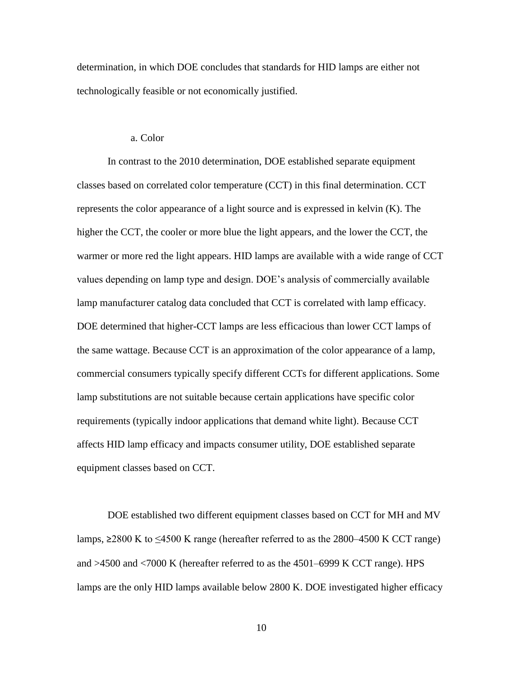determination, in which DOE concludes that standards for HID lamps are either not technologically feasible or not economically justified.

#### a. Color

<span id="page-10-0"></span> classes based on correlated color temperature (CCT) in this final determination. CCT In contrast to the 2010 determination, DOE established separate equipment represents the color appearance of a light source and is expressed in kelvin (K). The higher the CCT, the cooler or more blue the light appears, and the lower the CCT, the warmer or more red the light appears. HID lamps are available with a wide range of CCT values depending on lamp type and design. DOE's analysis of commercially available lamp manufacturer catalog data concluded that CCT is correlated with lamp efficacy. DOE determined that higher-CCT lamps are less efficacious than lower CCT lamps of the same wattage. Because CCT is an approximation of the color appearance of a lamp, commercial consumers typically specify different CCTs for different applications. Some lamp substitutions are not suitable because certain applications have specific color requirements (typically indoor applications that demand white light). Because CCT affects HID lamp efficacy and impacts consumer utility, DOE established separate equipment classes based on CCT.

DOE established two different equipment classes based on CCT for MH and MV lamps,  $\geq$ 2800 K to  $\leq$ 4500 K range (hereafter referred to as the 2800–4500 K CCT range) and >4500 and <7000 K (hereafter referred to as the 4501–6999 K CCT range). HPS lamps are the only HID lamps available below 2800 K. DOE investigated higher efficacy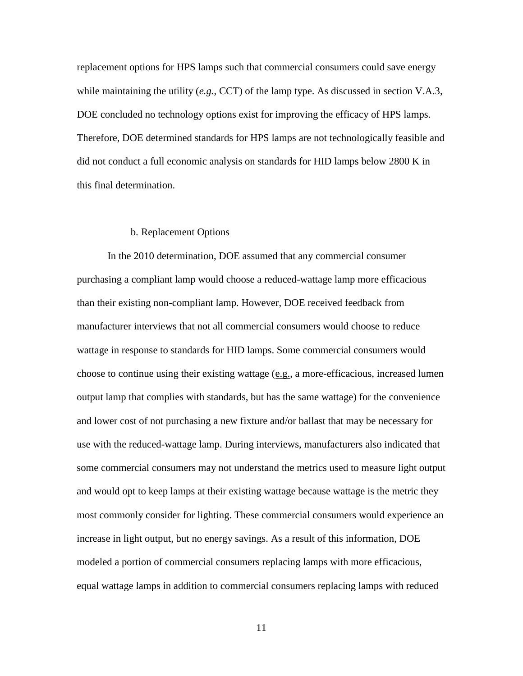replacement options for HPS lamps such that commercial consumers could save energy while maintaining the utility (*e.g.*, CCT) of the lamp type. As discussed in section [V.A.3,](#page-25-0) DOE concluded no technology options exist for improving the efficacy of HPS lamps. Therefore, DOE determined standards for HPS lamps are not technologically feasible and did not conduct a full economic analysis on standards for HID lamps below 2800 K in this final determination.

#### b. Replacement Options

<span id="page-11-0"></span> and lower cost of not purchasing a new fixture and/or ballast that may be necessary for some commercial consumers may not understand the metrics used to measure light output modeled a portion of commercial consumers replacing lamps with more efficacious, In the 2010 determination, DOE assumed that any commercial consumer purchasing a compliant lamp would choose a reduced-wattage lamp more efficacious than their existing non-compliant lamp. However, DOE received feedback from manufacturer interviews that not all commercial consumers would choose to reduce wattage in response to standards for HID lamps. Some commercial consumers would choose to continue using their existing wattage (e.g., a more-efficacious, increased lumen output lamp that complies with standards, but has the same wattage) for the convenience use with the reduced-wattage lamp. During interviews, manufacturers also indicated that and would opt to keep lamps at their existing wattage because wattage is the metric they most commonly consider for lighting. These commercial consumers would experience an increase in light output, but no energy savings. As a result of this information, DOE equal wattage lamps in addition to commercial consumers replacing lamps with reduced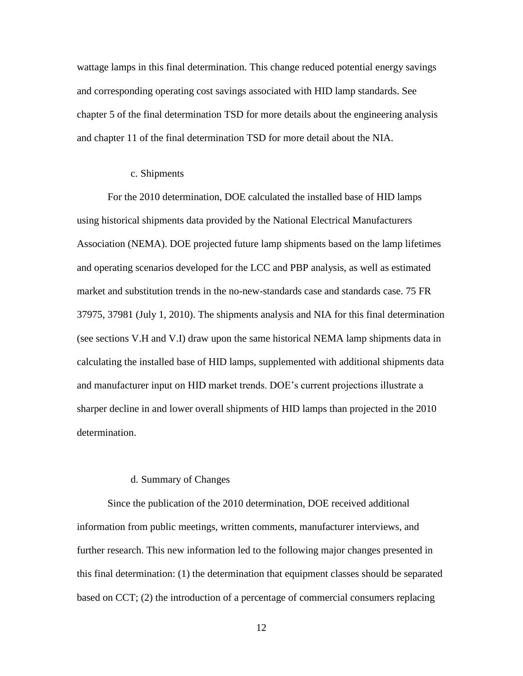wattage lamps in this final determination. This change reduced potential energy savings and chapter 11 of the final determination TSD for more detail about the NIA. and corresponding operating cost savings associated with HID lamp standards. See chapter 5 of the final determination TSD for more details about the engineering analysis

#### c. Shipments

<span id="page-12-0"></span> 37975, 37981 (July 1, 2010). The shipments analysis and NIA for this final determination For the 2010 determination, DOE calculated the installed base of HID lamps using historical shipments data provided by the National Electrical Manufacturers Association (NEMA). DOE projected future lamp shipments based on the lamp lifetimes and operating scenarios developed for the LCC and PBP analysis, as well as estimated market and substitution trends in the no-new-standards case and standards case. 75 FR (see sections [V.H](#page-37-1) and [V.I\)](#page-38-0) draw upon the same historical NEMA lamp shipments data in calculating the installed base of HID lamps, supplemented with additional shipments data and manufacturer input on HID market trends. DOE's current projections illustrate a sharper decline in and lower overall shipments of HID lamps than projected in the 2010 determination.

#### d. Summary of Changes

<span id="page-12-1"></span> further research. This new information led to the following major changes presented in based on CCT; (2) the introduction of a percentage of commercial consumers replacing Since the publication of the 2010 determination, DOE received additional information from public meetings, written comments, manufacturer interviews, and this final determination: (1) the determination that equipment classes should be separated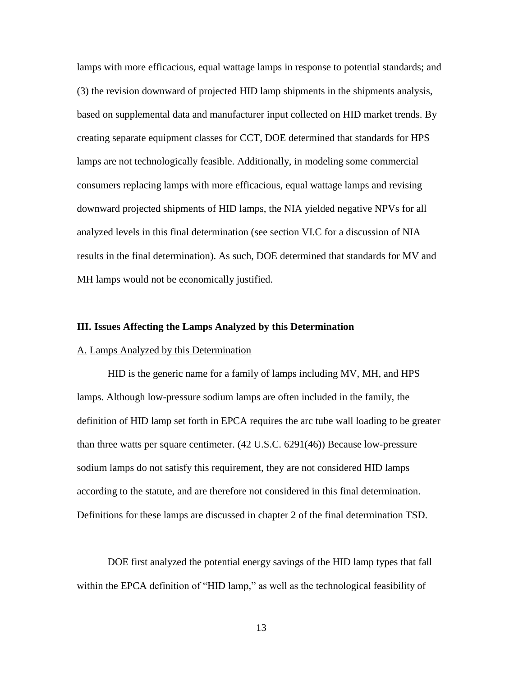lamps with more efficacious, equal wattage lamps in response to potential standards; and based on supplemental data and manufacturer input collected on HID market trends. By creating separate equipment classes for CCT, DOE determined that standards for HPS consumers replacing lamps with more efficacious, equal wattage lamps and revising downward projected shipments of HID lamps, the NIA yielded negative NPVs for all (3) the revision downward of projected HID lamp shipments in the shipments analysis, lamps are not technologically feasible. Additionally, in modeling some commercial analyzed levels in this final determination (see section [VI.C](#page-51-0) for a discussion of NIA results in the final determination). As such, DOE determined that standards for MV and MH lamps would not be economically justified.

#### <span id="page-13-0"></span> **III. Issues Affecting the Lamps Analyzed by this Determination**

#### <span id="page-13-1"></span>A. Lamps Analyzed by this Determination

 Definitions for these lamps are discussed in chapter 2 of the final determination TSD. HID is the generic name for a family of lamps including MV, MH, and HPS lamps. Although low-pressure sodium lamps are often included in the family, the definition of HID lamp set forth in EPCA requires the arc tube wall loading to be greater than three watts per square centimeter. (42 U.S.C. 6291(46)) Because low-pressure sodium lamps do not satisfy this requirement, they are not considered HID lamps according to the statute, and are therefore not considered in this final determination.

DOE first analyzed the potential energy savings of the HID lamp types that fall within the EPCA definition of "HID lamp," as well as the technological feasibility of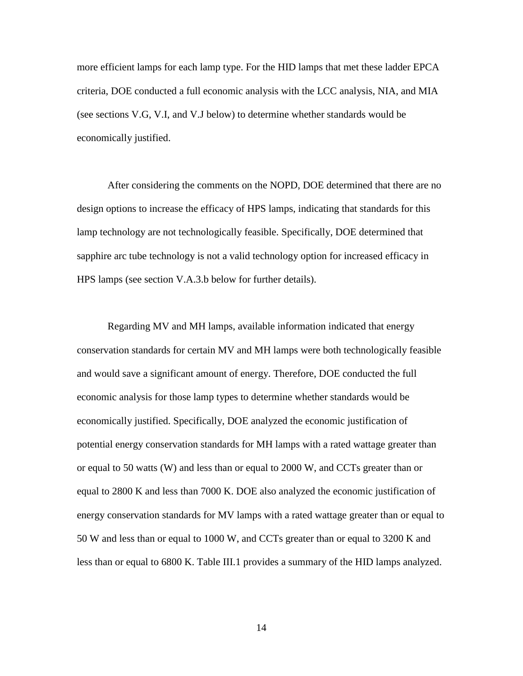more efficient lamps for each lamp type. For the HID lamps that met these ladder EPCA criteria, DOE conducted a full economic analysis with the LCC analysis, NIA, and MIA (see sections [V.G,](#page-37-0) [V.I,](#page-38-0) and [V.J](#page-38-1) below) to determine whether standards would be economically justified.

 design options to increase the efficacy of HPS lamps, indicating that standards for this HPS lamps (see section [V.A.3.b](#page-25-2) below for further details). After considering the comments on the NOPD, DOE determined that there are no lamp technology are not technologically feasible. Specifically, DOE determined that sapphire arc tube technology is not a valid technology option for increased efficacy in

 Regarding MV and MH lamps, available information indicated that energy conservation standards for certain MV and MH lamps were both technologically feasible and would save a significant amount of energy. Therefore, DOE conducted the full economic analysis for those lamp types to determine whether standards would be economically justified. Specifically, DOE analyzed the economic justification of potential energy conservation standards for MH lamps with a rated wattage greater than or equal to 50 watts (W) and less than or equal to 2000 W, and CCTs greater than or equal to 2800 K and less than 7000 K. DOE also analyzed the economic justification of energy conservation standards for MV lamps with a rated wattage greater than or equal to 50 W and less than or equal to 1000 W, and CCTs greater than or equal to 3200 K and less than or equal to 6800 K. [Table III.1](#page-15-0) provides a summary of the HID lamps analyzed.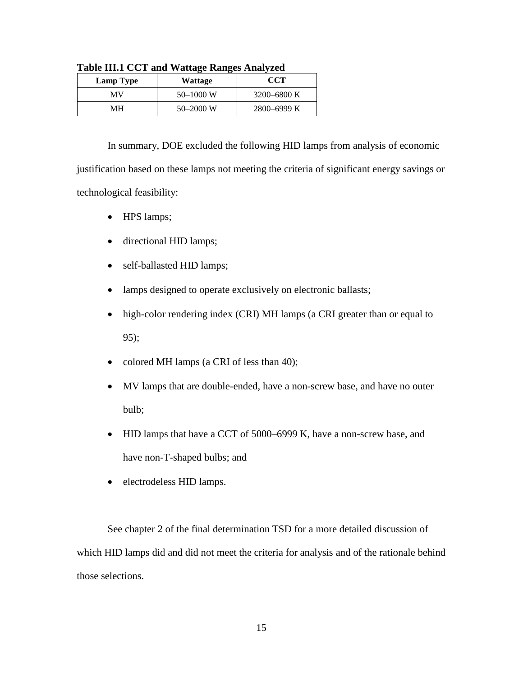| Lamp Type | Wattage       | <b>CCT</b>  |
|-----------|---------------|-------------|
| MV        | $50 - 1000$ W | 3200–6800 K |
| MН        | $50 - 2000$ W | 2800–6999 K |

<span id="page-15-0"></span>**Table III.1 CCT and Wattage Ranges Analyzed** 

 justification based on these lamps not meeting the criteria of significant energy savings or In summary, DOE excluded the following HID lamps from analysis of economic technological feasibility:

- HPS lamps;
- directional HID lamps;
- self-ballasted HID lamps;
- lamps designed to operate exclusively on electronic ballasts;
- high-color rendering index (CRI) MH lamps (a CRI greater than or equal to 95);
- colored MH lamps (a CRI of less than 40);
- bulb; MV lamps that are double-ended, have a non-screw base, and have no outer
- HID lamps that have a CCT of 5000–6999 K, have a non-screw base, and have non-T-shaped bulbs; and
- electrodeless HID lamps.

See chapter 2 of the final determination TSD for a more detailed discussion of which HID lamps did and did not meet the criteria for analysis and of the rationale behind those selections.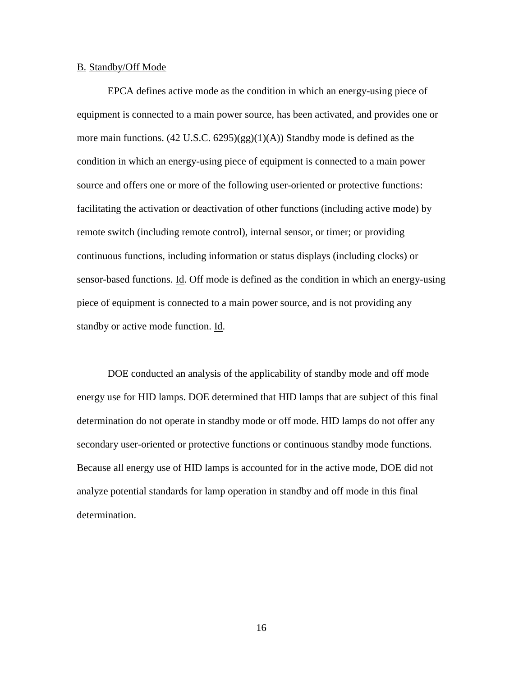#### <span id="page-16-0"></span>B. Standby/Off Mode

 source and offers one or more of the following user-oriented or protective functions: EPCA defines active mode as the condition in which an energy-using piece of equipment is connected to a main power source, has been activated, and provides one or more main functions.  $(42 \text{ U.S.C. } 6295)(gg)(1)(A))$  Standby mode is defined as the condition in which an energy-using piece of equipment is connected to a main power facilitating the activation or deactivation of other functions (including active mode) by remote switch (including remote control), internal sensor, or timer; or providing continuous functions, including information or status displays (including clocks) or sensor-based functions. Id. Off mode is defined as the condition in which an energy-using piece of equipment is connected to a main power source, and is not providing any standby or active mode function. Id.

 Because all energy use of HID lamps is accounted for in the active mode, DOE did not DOE conducted an analysis of the applicability of standby mode and off mode energy use for HID lamps. DOE determined that HID lamps that are subject of this final determination do not operate in standby mode or off mode. HID lamps do not offer any secondary user-oriented or protective functions or continuous standby mode functions. analyze potential standards for lamp operation in standby and off mode in this final determination.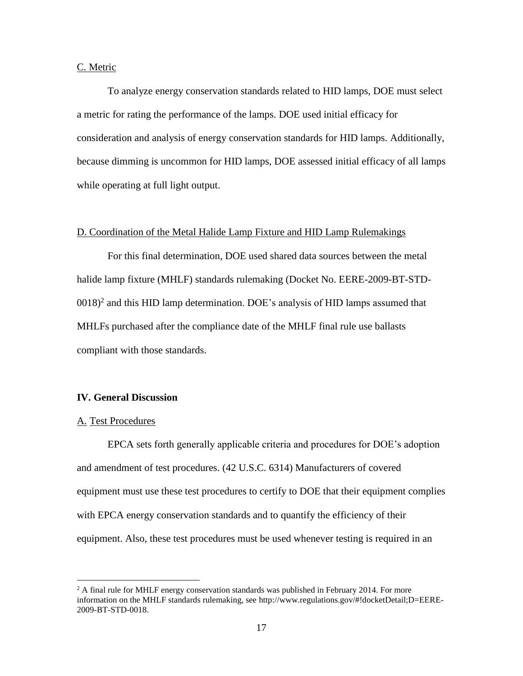#### <span id="page-17-0"></span>C. Metric

 because dimming is uncommon for HID lamps, DOE assessed initial efficacy of all lamps To analyze energy conservation standards related to HID lamps, DOE must select a metric for rating the performance of the lamps. DOE used initial efficacy for consideration and analysis of energy conservation standards for HID lamps. Additionally, while operating at full light output.

#### <span id="page-17-1"></span>D. Coordination of the Metal Halide Lamp Fixture and HID Lamp Rulemakings

For this final determination, DOE used shared data sources between the metal halide lamp fixture (MHLF) standards rulemaking (Docket No. EERE-2009-BT-STD- $0.018$ <sup>2</sup> and this HID lamp determination. DOE's analysis of HID lamps assumed that MHLFs purchased after the compliance date of the MHLF final rule use ballasts compliant with those standards.

### <span id="page-17-2"></span>**IV. General Discussion**

#### <span id="page-17-3"></span>A. Test Procedures

 $\overline{a}$ 

EPCA sets forth generally applicable criteria and procedures for DOE's adoption and amendment of test procedures. (42 U.S.C. 6314) Manufacturers of covered equipment must use these test procedures to certify to DOE that their equipment complies with EPCA energy conservation standards and to quantify the efficiency of their equipment. Also, these test procedures must be used whenever testing is required in an

 $2A$  final rule for MHLF energy conservation standards was published in February 2014. For more information on the MHLF standards rulemaking, see http://www.regulations.gov/#!docketDetail;D=EERE-2009-BT-STD-0018.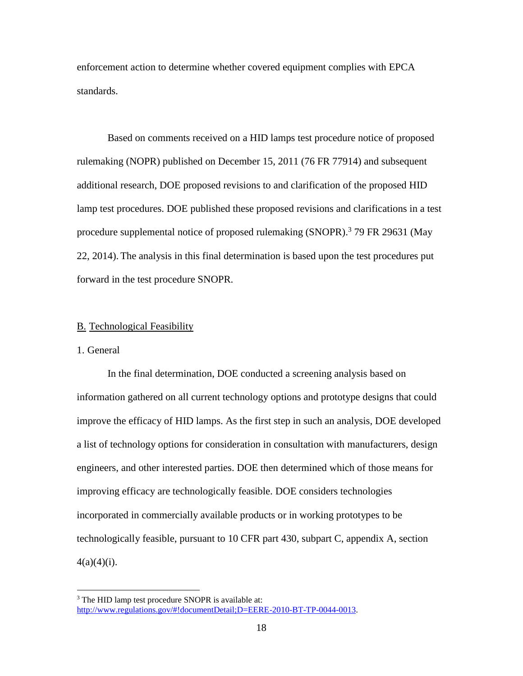enforcement action to determine whether covered equipment complies with EPCA standards.

Based on comments received on a HID lamps test procedure notice of proposed rulemaking (NOPR) published on December 15, 2011 (76 FR 77914) and subsequent additional research, DOE proposed revisions to and clarification of the proposed HID lamp test procedures. DOE published these proposed revisions and clarifications in a test procedure supplemental notice of proposed rulemaking  $(SNOPR)$ .<sup>3</sup> 79 FR 29631 (May 22, 2014). The analysis in this final determination is based upon the test procedures put forward in the test procedure SNOPR.

#### <span id="page-18-0"></span>B. Technological Feasibility

# <span id="page-18-1"></span>1. General

 $\overline{a}$ 

 improving efficacy are technologically feasible. DOE considers technologies technologically feasible, pursuant to 10 CFR part 430, subpart C, appendix A, section In the final determination, DOE conducted a screening analysis based on information gathered on all current technology options and prototype designs that could improve the efficacy of HID lamps. As the first step in such an analysis, DOE developed a list of technology options for consideration in consultation with manufacturers, design engineers, and other interested parties. DOE then determined which of those means for incorporated in commercially available products or in working prototypes to be  $4(a)(4)(i)$ .

<sup>&</sup>lt;sup>3</sup> The HID lamp test procedure SNOPR is available at: [http://www.regulations.gov/#!documentDetail;D=EERE-2010-BT-TP-0044-0013.](http://www.regulations.gov/#!documentDetail;D=EERE-2010-BT-TP-0044-0013)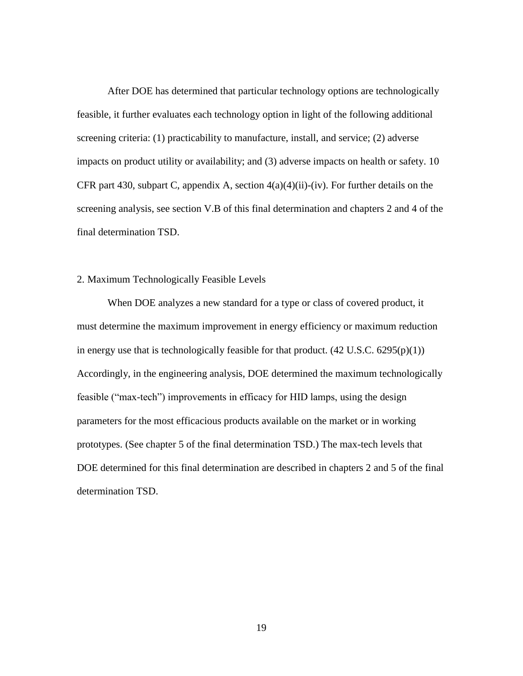screening analysis, see section [V.B](#page-28-0) of this final determination and chapters 2 and 4 of the After DOE has determined that particular technology options are technologically feasible, it further evaluates each technology option in light of the following additional screening criteria: (1) practicability to manufacture, install, and service; (2) adverse impacts on product utility or availability; and (3) adverse impacts on health or safety. 10 CFR part 430, subpart C, appendix A, section  $4(a)(4)(ii)$ -(iv). For further details on the final determination TSD.

# <span id="page-19-0"></span>2. Maximum Technologically Feasible Levels

 prototypes. (See chapter 5 of the final determination TSD.) The max-tech levels that When DOE analyzes a new standard for a type or class of covered product, it must determine the maximum improvement in energy efficiency or maximum reduction in energy use that is technologically feasible for that product.  $(42 \text{ U.S.C. } 6295(p)(1))$ Accordingly, in the engineering analysis, DOE determined the maximum technologically feasible ("max-tech") improvements in efficacy for HID lamps, using the design parameters for the most efficacious products available on the market or in working DOE determined for this final determination are described in chapters 2 and 5 of the final determination TSD.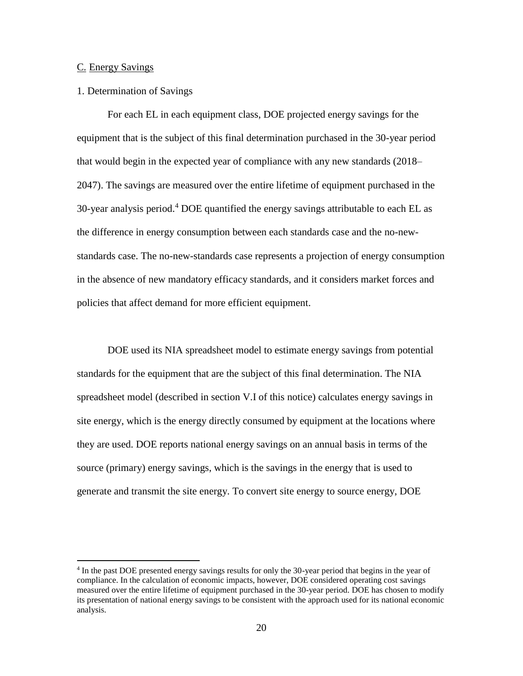#### <span id="page-20-0"></span>C. Energy Savings

 $\overline{a}$ 

#### <span id="page-20-1"></span>1. Determination of Savings

 For each EL in each equipment class, DOE projected energy savings for the 2047). The savings are measured over the entire lifetime of equipment purchased in the 30-year analysis period.<sup>4</sup> DOE quantified the energy savings attributable to each EL as standards case. The no-new-standards case represents a projection of energy consumption equipment that is the subject of this final determination purchased in the 30-year period that would begin in the expected year of compliance with any new standards (2018– the difference in energy consumption between each standards case and the no-newin the absence of new mandatory efficacy standards, and it considers market forces and policies that affect demand for more efficient equipment.

DOE used its NIA spreadsheet model to estimate energy savings from potential standards for the equipment that are the subject of this final determination. The NIA spreadsheet model (described in section [V.I](#page-38-0) of this notice) calculates energy savings in site energy, which is the energy directly consumed by equipment at the locations where they are used. DOE reports national energy savings on an annual basis in terms of the source (primary) energy savings, which is the savings in the energy that is used to generate and transmit the site energy. To convert site energy to source energy, DOE

<sup>&</sup>lt;sup>4</sup> In the past DOE presented energy savings results for only the 30-year period that begins in the year of compliance. In the calculation of economic impacts, however, DOE considered operating cost savings measured over the entire lifetime of equipment purchased in the 30-year period. DOE has chosen to modify its presentation of national energy savings to be consistent with the approach used for its national economic analysis.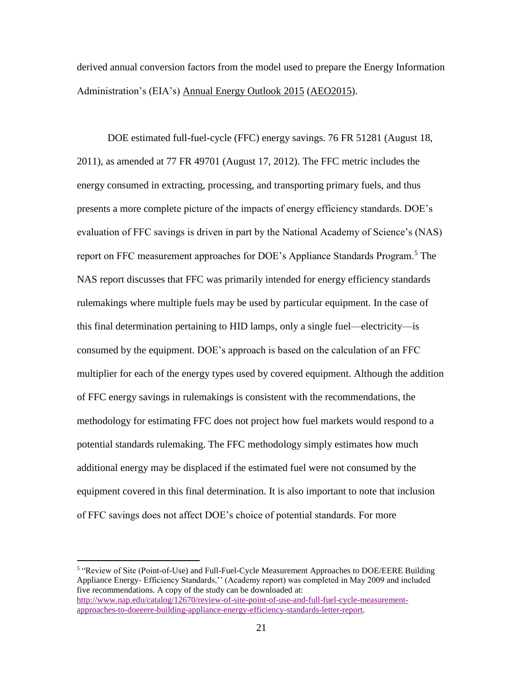Administration's (EIA's) Annual Energy Outlook 2015 (AEO2015). derived annual conversion factors from the model used to prepare the Energy Information

 DOE estimated full-fuel-cycle (FFC) energy savings. 76 FR 51281 (August 18, report on FFC measurement approaches for DOE's Appliance Standards Program.<sup>5</sup> The rulemakings where multiple fuels may be used by particular equipment. In the case of methodology for estimating FFC does not project how fuel markets would respond to a 2011), as amended at 77 FR 49701 (August 17, 2012). The FFC metric includes the energy consumed in extracting, processing, and transporting primary fuels, and thus presents a more complete picture of the impacts of energy efficiency standards. DOE's evaluation of FFC savings is driven in part by the National Academy of Science's (NAS) NAS report discusses that FFC was primarily intended for energy efficiency standards this final determination pertaining to HID lamps, only a single fuel—electricity—is consumed by the equipment. DOE's approach is based on the calculation of an FFC multiplier for each of the energy types used by covered equipment. Although the addition of FFC energy savings in rulemakings is consistent with the recommendations, the potential standards rulemaking. The FFC methodology simply estimates how much additional energy may be displaced if the estimated fuel were not consumed by the equipment covered in this final determination. It is also important to note that inclusion of FFC savings does not affect DOE's choice of potential standards. For more

 Appliance Energy- Efficiency Standards,'' (Academy report) was completed in May 2009 and included five recommendations. A copy of the study can be downloaded at: 5 "Review of Site (Point-of-Use) and Full-Fuel-Cycle Measurement Approaches to DOE/EERE Building [http://www.nap.edu/catalog/12670/review-of-site-point-of-use-and-full-fuel-cycle-measurement](http://www.nap.edu/catalog/12670/review-of-site-point-of-use-and-full-fuel-cycle-measurement-approaches-to-doeeere-building-appliance-energy-efficiency-standards-letter-report)[approaches-to-doeeere-building-appliance-energy-efficiency-standards-letter-report.](http://www.nap.edu/catalog/12670/review-of-site-point-of-use-and-full-fuel-cycle-measurement-approaches-to-doeeere-building-appliance-energy-efficiency-standards-letter-report)

 $\overline{a}$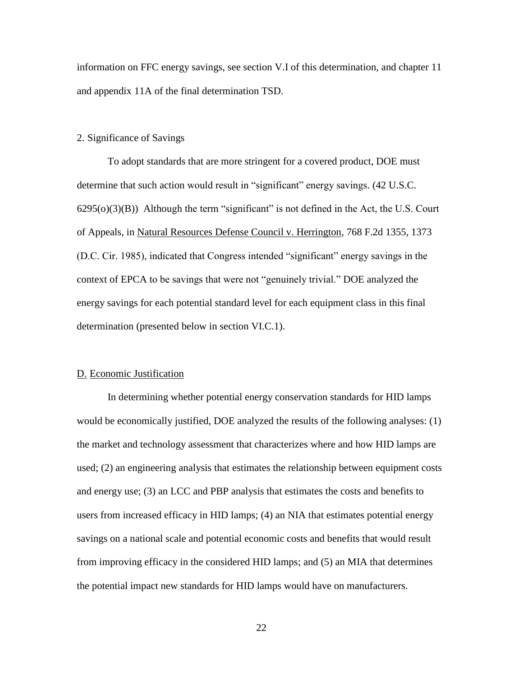information on FFC energy savings, see section [V.I](#page-38-0) of this determination, and chapter 11 and appendix 11A of the final determination TSD.

#### <span id="page-22-0"></span>2. Significance of Savings

determination (presented below in section [VI.C.1\)](#page-51-1).<br>D. Economic Justification To adopt standards that are more stringent for a covered product, DOE must determine that such action would result in "significant" energy savings. (42 U.S.C.  $6295(0)(3)(B)$ ) Although the term "significant" is not defined in the Act, the U.S. Court of Appeals, in Natural Resources Defense Council v. Herrington, 768 F.2d 1355, 1373 (D.C. Cir. 1985), indicated that Congress intended "significant" energy savings in the context of EPCA to be savings that were not "genuinely trivial." DOE analyzed the energy savings for each potential standard level for each equipment class in this final

<span id="page-22-1"></span> the market and technology assessment that characterizes where and how HID lamps are used; (2) an engineering analysis that estimates the relationship between equipment costs and energy use; (3) an LCC and PBP analysis that estimates the costs and benefits to users from increased efficacy in HID lamps; (4) an NIA that estimates potential energy In determining whether potential energy conservation standards for HID lamps would be economically justified, DOE analyzed the results of the following analyses: (1) savings on a national scale and potential economic costs and benefits that would result from improving efficacy in the considered HID lamps; and (5) an MIA that determines the potential impact new standards for HID lamps would have on manufacturers.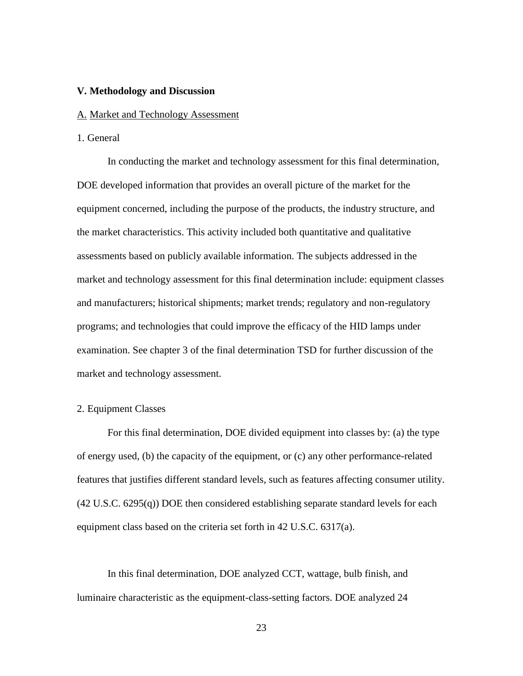#### <span id="page-23-0"></span>**V. Methodology and Discussion**

#### <span id="page-23-1"></span>A. Market and Technology Assessment

#### <span id="page-23-2"></span>1. General

 programs; and technologies that could improve the efficacy of the HID lamps under market and technology assessment. In conducting the market and technology assessment for this final determination, DOE developed information that provides an overall picture of the market for the equipment concerned, including the purpose of the products, the industry structure, and the market characteristics. This activity included both quantitative and qualitative assessments based on publicly available information. The subjects addressed in the market and technology assessment for this final determination include: equipment classes and manufacturers; historical shipments; market trends; regulatory and non-regulatory examination. See chapter 3 of the final determination TSD for further discussion of the

## <span id="page-23-3"></span>2. Equipment Classes

For this final determination, DOE divided equipment into classes by: (a) the type of energy used, (b) the capacity of the equipment, or (c) any other performance-related features that justifies different standard levels, such as features affecting consumer utility. (42 U.S.C. 6295(q)) DOE then considered establishing separate standard levels for each equipment class based on the criteria set forth in 42 U.S.C. 6317(a).

In this final determination, DOE analyzed CCT, wattage, bulb finish, and luminaire characteristic as the equipment-class-setting factors. DOE analyzed 24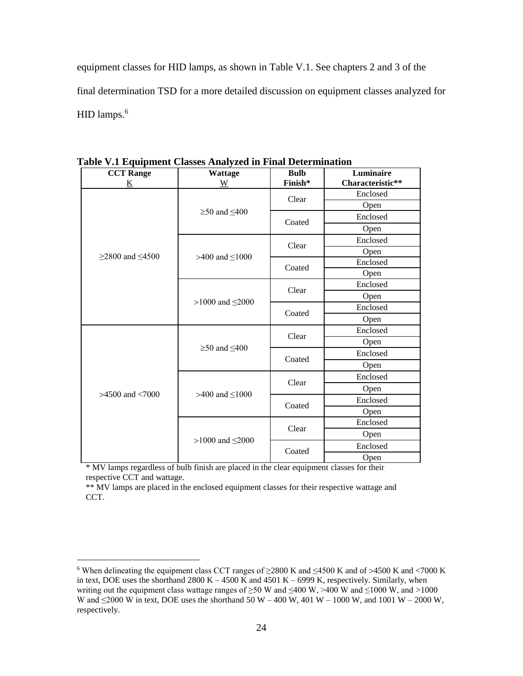equipment classes for HID lamps, as shown in [Table V.1.](#page-24-0) See chapters 2 and 3 of the final determination TSD for a more detailed discussion on equipment classes analyzed for HID lamps.<sup>6</sup>

| <b>CCT</b> Range     | <b>Wattage</b>           | <b>Bulb</b> | Luminaire        |
|----------------------|--------------------------|-------------|------------------|
| <u>K</u>             | $\underline{W}$          | Finish*     | Characteristic** |
|                      |                          | Clear       | Enclosed         |
|                      | $\geq 50$ and $\leq 400$ |             | Open             |
|                      |                          | Coated      | Enclosed         |
|                      |                          |             | Open             |
|                      |                          | Clear       | Enclosed         |
|                      | >400 and $\leq$ 1000     |             | Open             |
| $≥2800$ and ≤4500    |                          |             | Enclosed         |
|                      |                          | Coated      | Open             |
|                      |                          | Clear       | Enclosed         |
|                      |                          |             | Open             |
|                      | >1000 and $\leq$ 2000    | Coated      | Enclosed         |
|                      |                          |             | Open             |
|                      |                          | Clear       | Enclosed         |
|                      | $\geq$ 50 and $\leq$ 400 |             | Open             |
|                      |                          | Coated      | Enclosed         |
|                      |                          |             | Open             |
|                      |                          | Clear       | Enclosed         |
|                      |                          |             | Open             |
| $>4500$ and $< 7000$ | >400 and $\leq$ 1000     | Coated      | Enclosed         |
|                      |                          |             | Open             |
|                      |                          |             | Enclosed         |
|                      |                          | Clear       | Open             |
|                      | >1000 and $\leq$ 2000    | Coated      | Enclosed         |
|                      |                          |             | Open             |

<span id="page-24-0"></span>**Table V.1 Equipment Classes Analyzed in Final Determination** 

 \* MV lamps regardless of bulb finish are placed in the clear equipment classes for their respective CCT and wattage.

 $\overline{a}$ 

 \*\* MV lamps are placed in the enclosed equipment classes for their respective wattage and CCT.

<sup>6</sup> When delineating the equipment class CCT ranges of  $\geq$ 2800 K and  $\leq$ 4500 K and of >4500 K and <7000 K in text, DOE uses the shorthand  $2800 K - 4500 K$  and  $4501 K - 6999 K$ , respectively. Similarly, when writing out the equipment class wattage ranges of  $\geq$ 50 W and  $\leq$ 400 W,  $>$ 400 W and  $\leq$ 1000 W, and  $>$ 1000 W and  $\leq$ 2000 W in text, DOE uses the shorthand 50 W – 400 W, 401 W – 1000 W, and 1001 W – 2000 W, respectively.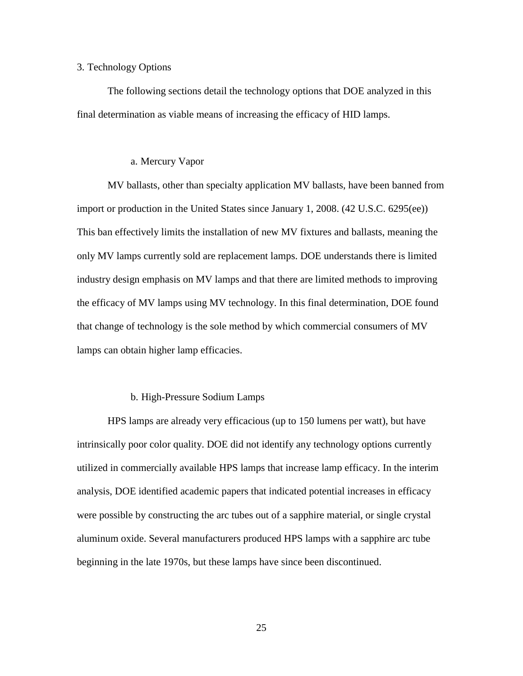#### <span id="page-25-0"></span>3. Technology Options

 The following sections detail the technology options that DOE analyzed in this final determination as viable means of increasing the efficacy of HID lamps.

# a. Mercury Vapor

<span id="page-25-1"></span> the efficacy of MV lamps using MV technology. In this final determination, DOE found lamps can obtain higher lamp efficacies. b. High-Pressure Sodium Lamps MV ballasts, other than specialty application MV ballasts, have been banned from import or production in the United States since January 1, 2008. (42 U.S.C. 6295(ee)) This ban effectively limits the installation of new MV fixtures and ballasts, meaning the only MV lamps currently sold are replacement lamps. DOE understands there is limited industry design emphasis on MV lamps and that there are limited methods to improving that change of technology is the sole method by which commercial consumers of MV

# b. High-Pressure Sodium Lamps

<span id="page-25-2"></span>HPS lamps are already very efficacious (up to 150 lumens per watt), but have intrinsically poor color quality. DOE did not identify any technology options currently utilized in commercially available HPS lamps that increase lamp efficacy. In the interim analysis, DOE identified academic papers that indicated potential increases in efficacy were possible by constructing the arc tubes out of a sapphire material, or single crystal aluminum oxide. Several manufacturers produced HPS lamps with a sapphire arc tube beginning in the late 1970s, but these lamps have since been discontinued.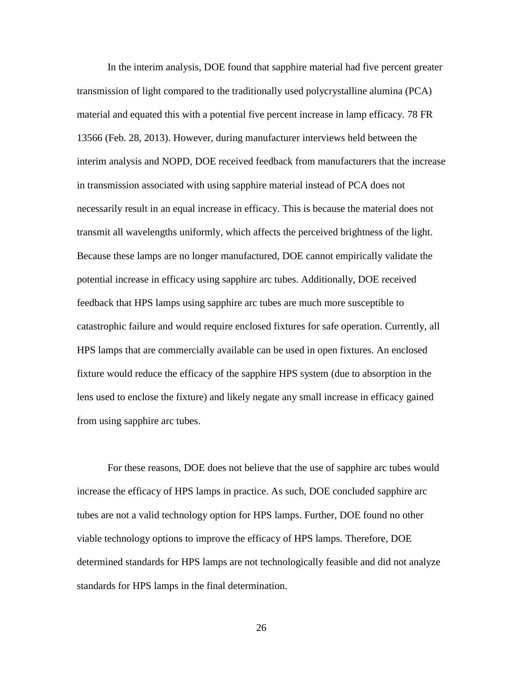In the interim analysis, DOE found that sapphire material had five percent greater necessarily result in an equal increase in efficacy. This is because the material does not Because these lamps are no longer manufactured, DOE cannot empirically validate the catastrophic failure and would require enclosed fixtures for safe operation. Currently, all fixture would reduce the efficacy of the sapphire HPS system (due to absorption in the transmission of light compared to the traditionally used polycrystalline alumina (PCA) material and equated this with a potential five percent increase in lamp efficacy. 78 FR 13566 (Feb. 28, 2013). However, during manufacturer interviews held between the interim analysis and NOPD, DOE received feedback from manufacturers that the increase in transmission associated with using sapphire material instead of PCA does not transmit all wavelengths uniformly, which affects the perceived brightness of the light. potential increase in efficacy using sapphire arc tubes. Additionally, DOE received feedback that HPS lamps using sapphire arc tubes are much more susceptible to HPS lamps that are commercially available can be used in open fixtures. An enclosed lens used to enclose the fixture) and likely negate any small increase in efficacy gained from using sapphire arc tubes.

 increase the efficacy of HPS lamps in practice. As such, DOE concluded sapphire arc tubes are not a valid technology option for HPS lamps. Further, DOE found no other For these reasons, DOE does not believe that the use of sapphire arc tubes would viable technology options to improve the efficacy of HPS lamps. Therefore, DOE determined standards for HPS lamps are not technologically feasible and did not analyze standards for HPS lamps in the final determination.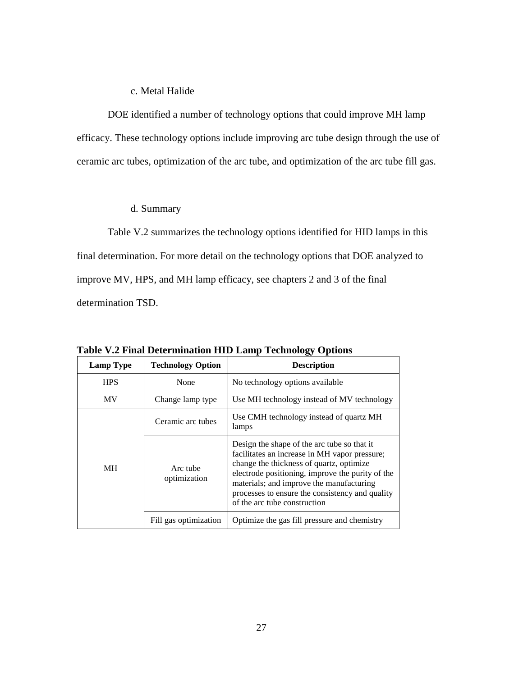# c. Metal Halide

<span id="page-27-0"></span>DOE identified a number of technology options that could improve MH lamp efficacy. These technology options include improving arc tube design through the use of ceramic arc tubes, optimization of the arc tube, and optimization of the arc tube fill gas.

# d. Summary

<span id="page-27-1"></span> final determination. For more detail on the technology options that DOE analyzed to determination TSD. [Table V.2](#page-27-2) summarizes the technology options identified for HID lamps in this improve MV, HPS, and MH lamp efficacy, see chapters 2 and 3 of the final

| <b>Lamp Type</b> | <b>Technology Option</b> | <b>Description</b>                                                                                                                                                                                                                                                                                                          |
|------------------|--------------------------|-----------------------------------------------------------------------------------------------------------------------------------------------------------------------------------------------------------------------------------------------------------------------------------------------------------------------------|
| <b>HPS</b>       | None                     | No technology options available                                                                                                                                                                                                                                                                                             |
| <b>MV</b>        | Change lamp type         | Use MH technology instead of MV technology                                                                                                                                                                                                                                                                                  |
|                  | Ceramic arc tubes        | Use CMH technology instead of quartz MH<br>lamps                                                                                                                                                                                                                                                                            |
| MН               | Arc tube<br>optimization | Design the shape of the arc tube so that it<br>facilitates an increase in MH vapor pressure;<br>change the thickness of quartz, optimize<br>electrode positioning, improve the purity of the<br>materials; and improve the manufacturing<br>processes to ensure the consistency and quality<br>of the arc tube construction |
|                  | Fill gas optimization    | Optimize the gas fill pressure and chemistry                                                                                                                                                                                                                                                                                |

<span id="page-27-2"></span>**Table V.2 Final Determination HID Lamp Technology Options**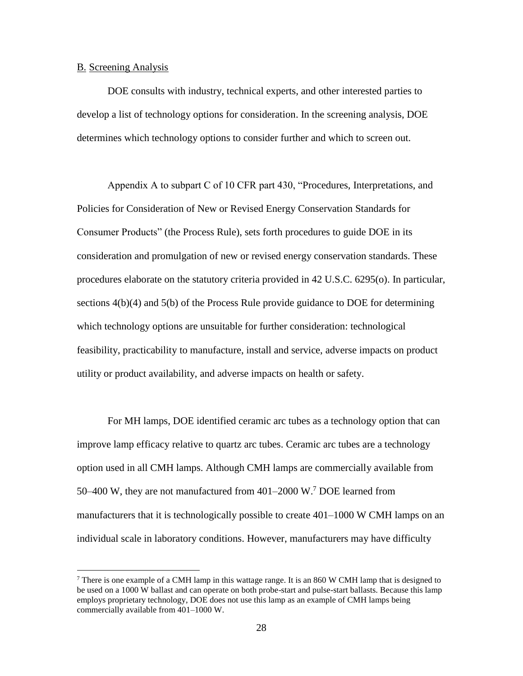#### <span id="page-28-0"></span>B. Screening Analysis

 $\overline{a}$ 

DOE consults with industry, technical experts, and other interested parties to develop a list of technology options for consideration. In the screening analysis, DOE determines which technology options to consider further and which to screen out.

sections  $4(b)(4)$  and  $5(b)$  of the Process Rule provide guidance to DOE for determining Appendix A to subpart C of 10 CFR part 430, "Procedures, Interpretations, and Policies for Consideration of New or Revised Energy Conservation Standards for Consumer Products" (the Process Rule), sets forth procedures to guide DOE in its consideration and promulgation of new or revised energy conservation standards. These procedures elaborate on the statutory criteria provided in 42 U.S.C. 6295(o). In particular, which technology options are unsuitable for further consideration: technological feasibility, practicability to manufacture, install and service, adverse impacts on product utility or product availability, and adverse impacts on health or safety.

For MH lamps, DOE identified ceramic arc tubes as a technology option that can improve lamp efficacy relative to quartz arc tubes. Ceramic arc tubes are a technology option used in all CMH lamps. Although CMH lamps are commercially available from 50–400 W, they are not manufactured from 401–2000 W.7 DOE learned from manufacturers that it is technologically possible to create 401–1000 W CMH lamps on an individual scale in laboratory conditions. However, manufacturers may have difficulty

There is one example of a CMH lamp in this wattage range. It is an 860 W CMH lamp that is designed to be used on a 1000 W ballast and can operate on both probe-start and pulse-start ballasts. Because this lamp employs proprietary technology, DOE does not use this lamp as an example of CMH lamps being commercially available from 401–1000 W.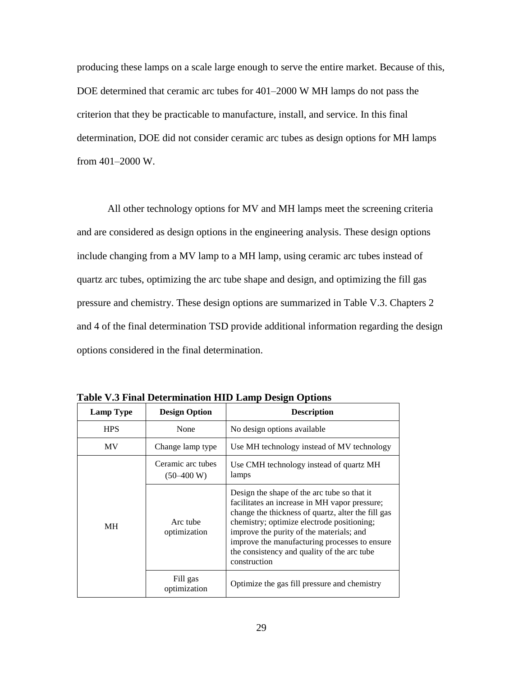DOE determined that ceramic arc tubes for 401–2000 W MH lamps do not pass the producing these lamps on a scale large enough to serve the entire market. Because of this, criterion that they be practicable to manufacture, install, and service. In this final determination, DOE did not consider ceramic arc tubes as design options for MH lamps from 401–2000 W.

 and 4 of the final determination TSD provide additional information regarding the design All other technology options for MV and MH lamps meet the screening criteria and are considered as design options in the engineering analysis. These design options include changing from a MV lamp to a MH lamp, using ceramic arc tubes instead of quartz arc tubes, optimizing the arc tube shape and design, and optimizing the fill gas pressure and chemistry. These design options are summarized in [Table V.3.](#page-29-0) Chapters 2 options considered in the final determination.

| <b>Lamp Type</b> | <b>Design Option</b>              | <b>Description</b>                                                                                                                                                                                                                                                                                                                                           |
|------------------|-----------------------------------|--------------------------------------------------------------------------------------------------------------------------------------------------------------------------------------------------------------------------------------------------------------------------------------------------------------------------------------------------------------|
| <b>HPS</b>       | None                              | No design options available                                                                                                                                                                                                                                                                                                                                  |
| <b>MV</b>        | Change lamp type                  | Use MH technology instead of MV technology                                                                                                                                                                                                                                                                                                                   |
|                  | Ceramic arc tubes<br>$(50-400 W)$ | Use CMH technology instead of quartz MH<br>lamps                                                                                                                                                                                                                                                                                                             |
| <b>MH</b>        | Arc tube<br>optimization          | Design the shape of the arc tube so that it<br>facilitates an increase in MH vapor pressure;<br>change the thickness of quartz, alter the fill gas<br>chemistry; optimize electrode positioning;<br>improve the purity of the materials; and<br>improve the manufacturing processes to ensure<br>the consistency and quality of the arc tube<br>construction |
|                  | Fill gas<br>optimization          | Optimize the gas fill pressure and chemistry                                                                                                                                                                                                                                                                                                                 |

<span id="page-29-0"></span>**Table V.3 Final Determination HID Lamp Design Options**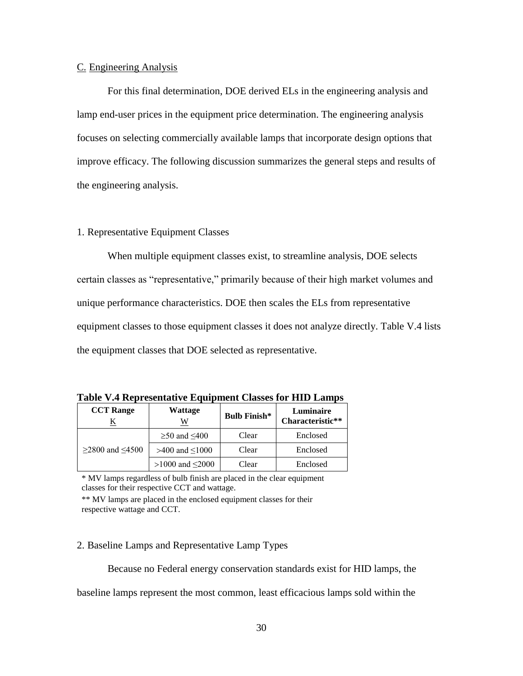#### <span id="page-30-0"></span>C. Engineering Analysis

 the engineering analysis. For this final determination, DOE derived ELs in the engineering analysis and lamp end-user prices in the equipment price determination. The engineering analysis focuses on selecting commercially available lamps that incorporate design options that improve efficacy. The following discussion summarizes the general steps and results of

# <span id="page-30-1"></span>1. Representative Equipment Classes

 equipment classes to those equipment classes it does not analyze directly. [Table V.4](#page-30-3) lists When multiple equipment classes exist, to streamline analysis, DOE selects certain classes as "representative," primarily because of their high market volumes and unique performance characteristics. DOE then scales the ELs from representative the equipment classes that DOE selected as representative.

| <b>CCT</b> Range   | Wattage<br>W             | <b>Bulb Finish*</b> | Luminaire<br>Characteristic** |
|--------------------|--------------------------|---------------------|-------------------------------|
|                    | $\geq 50$ and $\leq 400$ | Clear               | Enclosed                      |
| $≥$ 2800 and ≤4500 | >400 and $\leq 1000$     | Clear               | Enclosed                      |
|                    | >1000 and $\leq$ 2000    | Clear               | Enclosed                      |

<span id="page-30-3"></span>**Table V.4 Representative Equipment Classes for HID Lamps** 

 \* MV lamps regardless of bulb finish are placed in the clear equipment classes for their respective CCT and wattage.

 \*\* MV lamps are placed in the enclosed equipment classes for their respective wattage and CCT.

#### <span id="page-30-2"></span>2. Baseline Lamps and Representative Lamp Types

Because no Federal energy conservation standards exist for HID lamps, the

baseline lamps represent the most common, least efficacious lamps sold within the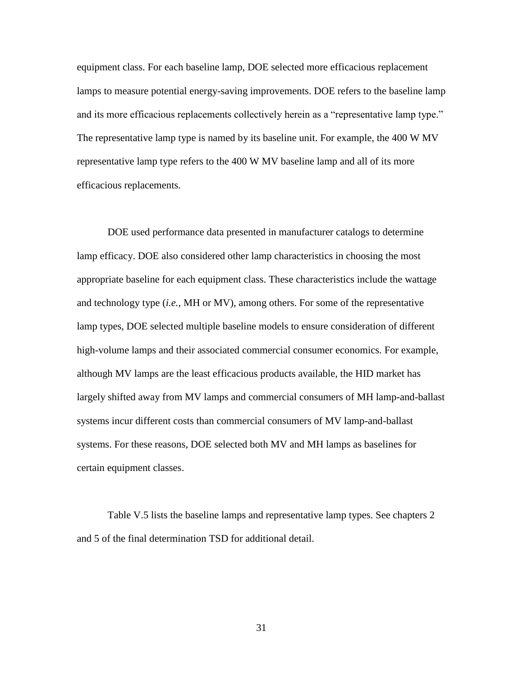efficacious replacements. equipment class. For each baseline lamp, DOE selected more efficacious replacement lamps to measure potential energy-saving improvements. DOE refers to the baseline lamp and its more efficacious replacements collectively herein as a "representative lamp type." The representative lamp type is named by its baseline unit. For example, the 400 W MV representative lamp type refers to the 400 W MV baseline lamp and all of its more

 lamp types, DOE selected multiple baseline models to ensure consideration of different DOE used performance data presented in manufacturer catalogs to determine lamp efficacy. DOE also considered other lamp characteristics in choosing the most appropriate baseline for each equipment class. These characteristics include the wattage and technology type (*i.e.*, MH or MV), among others. For some of the representative high-volume lamps and their associated commercial consumer economics. For example, although MV lamps are the least efficacious products available, the HID market has largely shifted away from MV lamps and commercial consumers of MH lamp-and-ballast systems incur different costs than commercial consumers of MV lamp-and-ballast systems. For these reasons, DOE selected both MV and MH lamps as baselines for certain equipment classes.

[Table V.5](#page-32-1) lists the baseline lamps and representative lamp types. See chapters 2 and 5 of the final determination TSD for additional detail.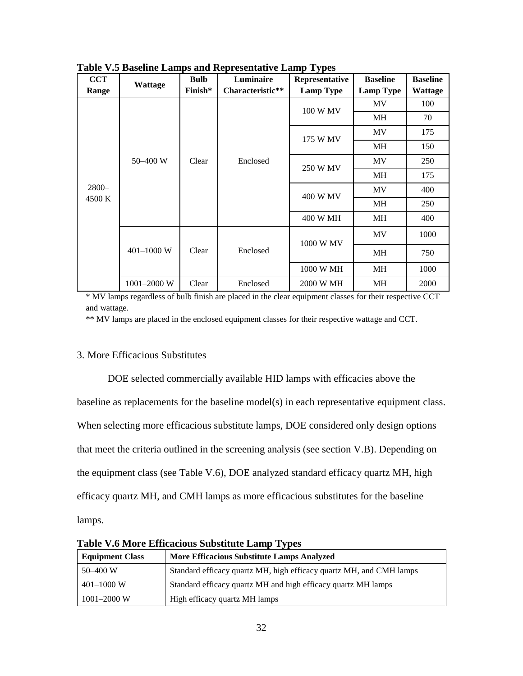| <b>CCT</b> | <b>Wattage</b>  | <b>Bulb</b> | Luminaire        | $\ddot{\phantom{0}}$<br>Representative | <b>Baseline</b>  | <b>Baseline</b> |
|------------|-----------------|-------------|------------------|----------------------------------------|------------------|-----------------|
| Range      |                 | Finish*     | Characteristic** | <b>Lamp Type</b>                       | <b>Lamp Type</b> | <b>Wattage</b>  |
| $2800 -$   |                 |             |                  | 100 W MV                               | <b>MV</b>        | 100             |
|            |                 |             |                  |                                        | <b>MH</b>        | 70              |
|            |                 |             |                  | 175 W MV                               | <b>MV</b>        | 175             |
|            |                 |             |                  |                                        | MH               | 150             |
|            | 50-400 W        | Clear       | Enclosed         | 250 W MV                               | MV               | 250             |
|            |                 |             |                  |                                        | MH               | 175             |
|            |                 |             |                  | 400 W MV                               | MV               | 400             |
| 4500 K     |                 |             |                  |                                        | MH               | 250             |
|            |                 |             |                  | 400 W MH                               | MH               | 400             |
|            |                 | Clear       |                  | 1000 W MV                              | <b>MV</b>        | 1000            |
|            | 401-1000 W      |             | Enclosed         |                                        | MH               | 750             |
|            |                 |             |                  | 1000 W MH                              | MH               | 1000            |
|            | $1001 - 2000$ W | Clear       | Enclosed         | 2000 W MH                              | <b>MH</b>        | 2000            |

<span id="page-32-1"></span>**Table V.5 Baseline Lamps and Representative Lamp Types** 

 \* MV lamps regardless of bulb finish are placed in the clear equipment classes for their respective CCT and wattage.

\*\* MV lamps are placed in the enclosed equipment classes for their respective wattage and CCT.

# <span id="page-32-0"></span>3. More Efficacious Substitutes

 the equipment class (see [Table V.6\)](#page-32-2), DOE analyzed standard efficacy quartz MH, high lamps. DOE selected commercially available HID lamps with efficacies above the baseline as replacements for the baseline model(s) in each representative equipment class. When selecting more efficacious substitute lamps, DOE considered only design options that meet the criteria outlined in the screening analysis (see section [V.B\)](#page-28-0). Depending on efficacy quartz MH, and CMH lamps as more efficacious substitutes for the baseline

| <b>Equipment Class</b> | <b>More Efficacious Substitute Lamps Analyzed</b>                   |
|------------------------|---------------------------------------------------------------------|
| $50 - 400$ W           | Standard efficacy quartz MH, high efficacy quartz MH, and CMH lamps |
| $401 - 1000$ W         | Standard efficacy quartz MH and high efficacy quartz MH lamps       |
| $1001 - 2000$ W        | High efficacy quartz MH lamps                                       |

<span id="page-32-2"></span>**Table V.6 More Efficacious Substitute Lamp Types**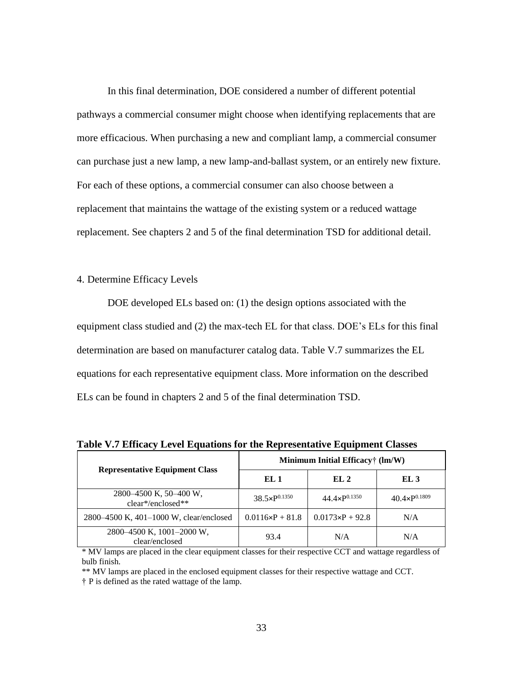In this final determination, DOE considered a number of different potential pathways a commercial consumer might choose when identifying replacements that are more efficacious. When purchasing a new and compliant lamp, a commercial consumer can purchase just a new lamp, a new lamp-and-ballast system, or an entirely new fixture. For each of these options, a commercial consumer can also choose between a replacement that maintains the wattage of the existing system or a reduced wattage replacement. See chapters 2 and 5 of the final determination TSD for additional detail.

# <span id="page-33-0"></span>4. Determine Efficacy Levels

 ELs can be found in chapters 2 and 5 of the final determination TSD. DOE developed ELs based on: (1) the design options associated with the equipment class studied and (2) the max-tech EL for that class. DOE's ELs for this final determination are based on manufacturer catalog data. [Table V.7](#page-33-1) summarizes the EL equations for each representative equipment class. More information on the described

|                                               | Minimum Initial Efficacy <sup>†</sup> (lm/W) |                          |                          |  |  |  |
|-----------------------------------------------|----------------------------------------------|--------------------------|--------------------------|--|--|--|
| <b>Representative Equipment Class</b>         | EL 1                                         | EL 2                     | EL 3                     |  |  |  |
| 2800–4500 K, 50–400 W,<br>$clear*/enclosed**$ | $38.5\times P^{0.1350}$                      | $44.4 \times P^{0.1350}$ | $40.4 \times P^{0.1809}$ |  |  |  |
| 2800–4500 K, 401–1000 W, clear/enclosed       | $0.0116 \times P + 81.8$                     | $0.0173 \times P + 92.8$ | N/A                      |  |  |  |
| 2800–4500 K, 1001–2000 W,<br>clear/enclosed   | 93.4                                         | N/A                      | N/A                      |  |  |  |

<span id="page-33-1"></span>**Table V.7 Efficacy Level Equations for the Representative Equipment Classes** 

 \* MV lamps are placed in the clear equipment classes for their respective CCT and wattage regardless of bulb finish.

\*\* MV lamps are placed in the enclosed equipment classes for their respective wattage and CCT.

† P is defined as the rated wattage of the lamp.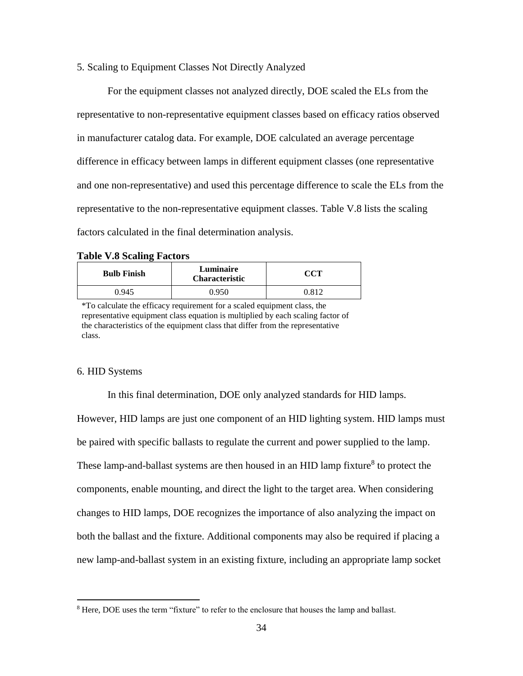#### <span id="page-34-0"></span>5. Scaling to Equipment Classes Not Directly Analyzed

 factors calculated in the final determination analysis. For the equipment classes not analyzed directly, DOE scaled the ELs from the representative to non-representative equipment classes based on efficacy ratios observed in manufacturer catalog data. For example, DOE calculated an average percentage difference in efficacy between lamps in different equipment classes (one representative and one non-representative) and used this percentage difference to scale the ELs from the representative to the non-representative equipment classes. [Table V.8](#page-34-2) lists the scaling

#### <span id="page-34-2"></span>**Table V.8 Scaling Factors**

| <b>Bulb Finish</b> | Luminaire<br><b>Characteristic</b> | $\operatorname{CCT}$ |
|--------------------|------------------------------------|----------------------|
| 0 945              | 0.950                              | 0.812                |

 \*To calculate the efficacy requirement for a scaled equipment class, the representative equipment class equation is multiplied by each scaling factor of the characteristics of the equipment class that differ from the representative class.

#### <span id="page-34-1"></span>6. HID Systems

 $\overline{a}$ 

In this final determination, DOE only analyzed standards for HID lamps.

 both the ballast and the fixture. Additional components may also be required if placing a However, HID lamps are just one component of an HID lighting system. HID lamps must be paired with specific ballasts to regulate the current and power supplied to the lamp. These lamp-and-ballast systems are then housed in an HID lamp fixture<sup>8</sup> to protect the components, enable mounting, and direct the light to the target area. When considering changes to HID lamps, DOE recognizes the importance of also analyzing the impact on new lamp-and-ballast system in an existing fixture, including an appropriate lamp socket

<sup>&</sup>lt;sup>8</sup> Here, DOE uses the term "fixture" to refer to the enclosure that houses the lamp and ballast.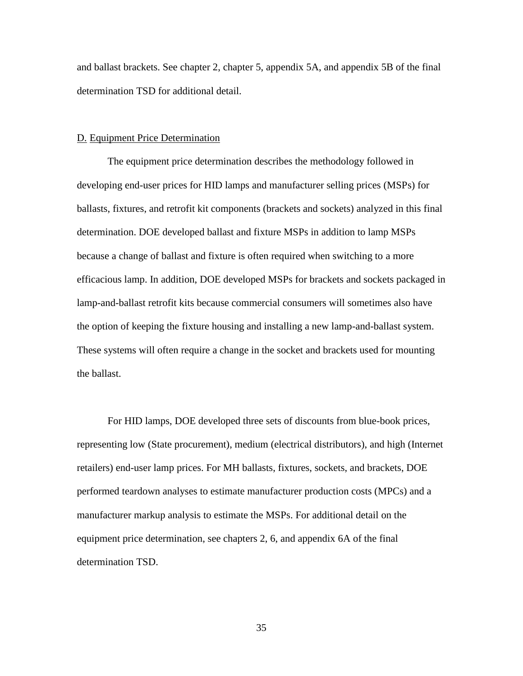and ballast brackets. See chapter 2, chapter 5, appendix 5A, and appendix 5B of the final determination TSD for additional detail.

#### <span id="page-35-0"></span>D. Equipment Price Determination

 lamp-and-ballast retrofit kits because commercial consumers will sometimes also have The equipment price determination describes the methodology followed in developing end-user prices for HID lamps and manufacturer selling prices (MSPs) for ballasts, fixtures, and retrofit kit components (brackets and sockets) analyzed in this final determination. DOE developed ballast and fixture MSPs in addition to lamp MSPs because a change of ballast and fixture is often required when switching to a more efficacious lamp. In addition, DOE developed MSPs for brackets and sockets packaged in the option of keeping the fixture housing and installing a new lamp-and-ballast system. These systems will often require a change in the socket and brackets used for mounting the ballast.

For HID lamps, DOE developed three sets of discounts from blue-book prices, representing low (State procurement), medium (electrical distributors), and high (Internet retailers) end-user lamp prices. For MH ballasts, fixtures, sockets, and brackets, DOE performed teardown analyses to estimate manufacturer production costs (MPCs) and a manufacturer markup analysis to estimate the MSPs. For additional detail on the equipment price determination, see chapters 2, 6, and appendix 6A of the final determination TSD.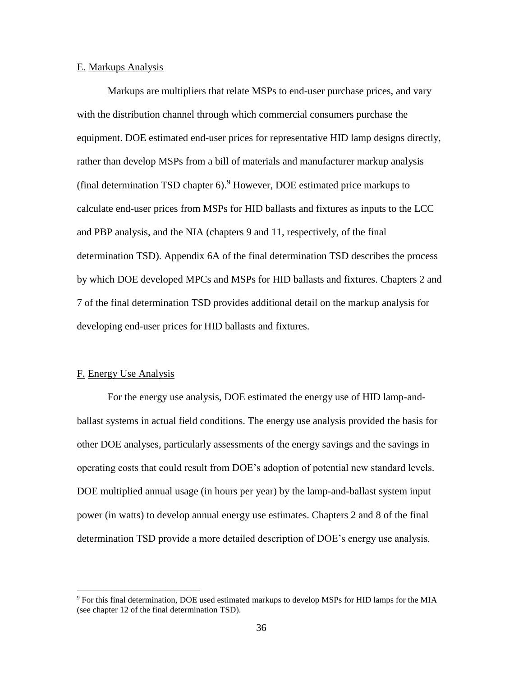#### <span id="page-36-0"></span>E. Markups Analysis

 calculate end-user prices from MSPs for HID ballasts and fixtures as inputs to the LCC and PBP analysis, and the NIA (chapters 9 and 11, respectively, of the final Markups are multipliers that relate MSPs to end-user purchase prices, and vary with the distribution channel through which commercial consumers purchase the equipment. DOE estimated end-user prices for representative HID lamp designs directly, rather than develop MSPs from a bill of materials and manufacturer markup analysis (final determination TSD chapter  $6$ ).<sup>9</sup> However, DOE estimated price markups to determination TSD). Appendix 6A of the final determination TSD describes the process by which DOE developed MPCs and MSPs for HID ballasts and fixtures. Chapters 2 and 7 of the final determination TSD provides additional detail on the markup analysis for developing end-user prices for HID ballasts and fixtures.

# <span id="page-36-1"></span>F. Energy Use Analysis

 $\overline{a}$ 

For the energy use analysis, DOE estimated the energy use of HID lamp-andballast systems in actual field conditions. The energy use analysis provided the basis for other DOE analyses, particularly assessments of the energy savings and the savings in operating costs that could result from DOE's adoption of potential new standard levels. DOE multiplied annual usage (in hours per year) by the lamp-and-ballast system input power (in watts) to develop annual energy use estimates. Chapters 2 and 8 of the final determination TSD provide a more detailed description of DOE's energy use analysis.

<sup>&</sup>lt;sup>9</sup> For this final determination, DOE used estimated markups to develop MSPs for HID lamps for the MIA (see chapter 12 of the final determination TSD).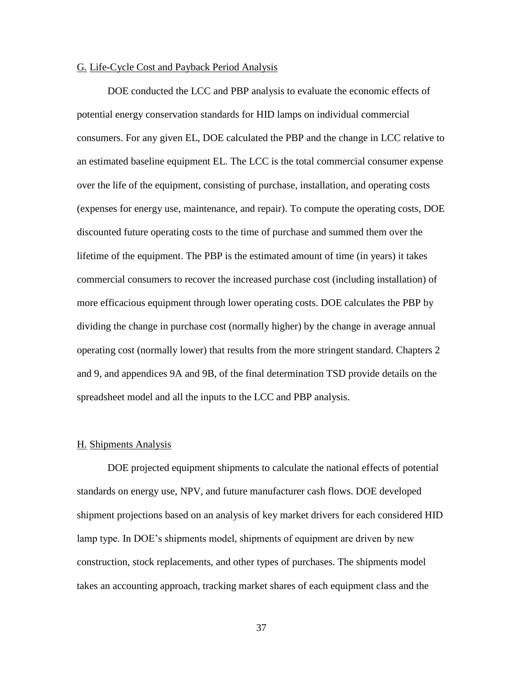#### <span id="page-37-0"></span>G. Life-Cycle Cost and Payback Period Analysis

 an estimated baseline equipment EL. The LCC is the total commercial consumer expense DOE conducted the LCC and PBP analysis to evaluate the economic effects of potential energy conservation standards for HID lamps on individual commercial consumers. For any given EL, DOE calculated the PBP and the change in LCC relative to over the life of the equipment, consisting of purchase, installation, and operating costs (expenses for energy use, maintenance, and repair). To compute the operating costs, DOE discounted future operating costs to the time of purchase and summed them over the lifetime of the equipment. The PBP is the estimated amount of time (in years) it takes commercial consumers to recover the increased purchase cost (including installation) of more efficacious equipment through lower operating costs. DOE calculates the PBP by dividing the change in purchase cost (normally higher) by the change in average annual operating cost (normally lower) that results from the more stringent standard. Chapters 2 and 9, and appendices 9A and 9B, of the final determination TSD provide details on the spreadsheet model and all the inputs to the LCC and PBP analysis.

#### <span id="page-37-1"></span>H. Shipments Analysis

DOE projected equipment shipments to calculate the national effects of potential standards on energy use, NPV, and future manufacturer cash flows. DOE developed shipment projections based on an analysis of key market drivers for each considered HID lamp type. In DOE's shipments model, shipments of equipment are driven by new construction, stock replacements, and other types of purchases. The shipments model takes an accounting approach, tracking market shares of each equipment class and the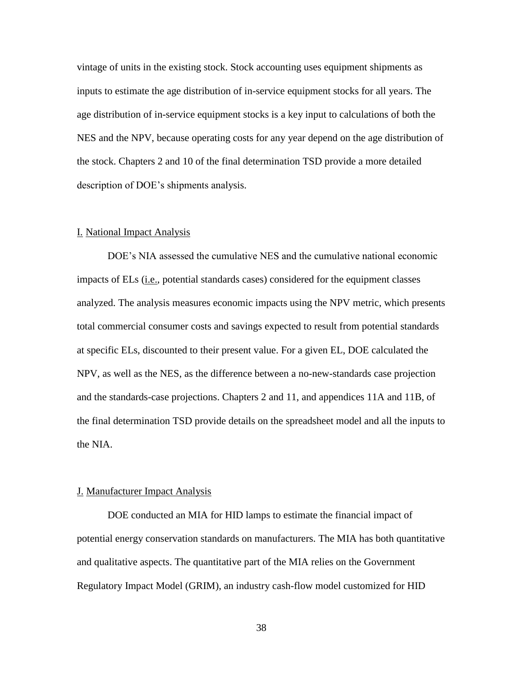inputs to estimate the age distribution of in-service equipment stocks for all years. The vintage of units in the existing stock. Stock accounting uses equipment shipments as age distribution of in-service equipment stocks is a key input to calculations of both the NES and the NPV, because operating costs for any year depend on the age distribution of the stock. Chapters 2 and 10 of the final determination TSD provide a more detailed description of DOE's shipments analysis.

#### <span id="page-38-0"></span>I. National Impact Analysis

DOE's NIA assessed the cumulative NES and the cumulative national economic impacts of ELs (i.e., potential standards cases) considered for the equipment classes analyzed. The analysis measures economic impacts using the NPV metric, which presents total commercial consumer costs and savings expected to result from potential standards at specific ELs, discounted to their present value. For a given EL, DOE calculated the NPV, as well as the NES, as the difference between a no-new-standards case projection and the standards-case projections. Chapters 2 and 11, and appendices 11A and 11B, of the final determination TSD provide details on the spreadsheet model and all the inputs to the NIA.

#### <span id="page-38-1"></span>J. Manufacturer Impact Analysis

DOE conducted an MIA for HID lamps to estimate the financial impact of potential energy conservation standards on manufacturers. The MIA has both quantitative and qualitative aspects. The quantitative part of the MIA relies on the Government Regulatory Impact Model (GRIM), an industry cash-flow model customized for HID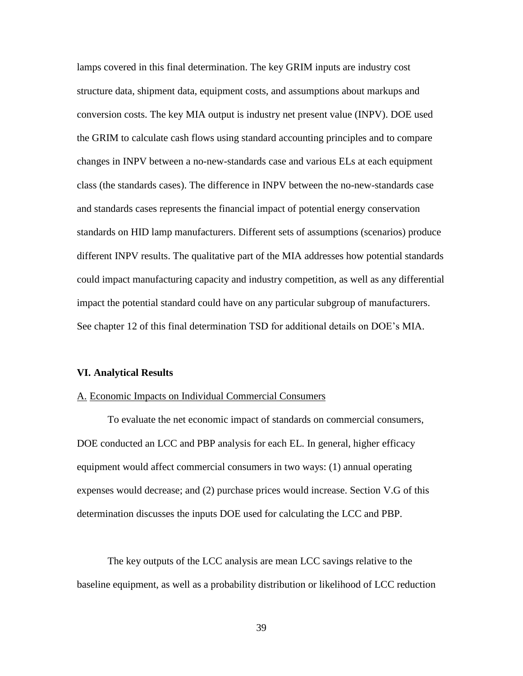lamps covered in this final determination. The key GRIM inputs are industry cost structure data, shipment data, equipment costs, and assumptions about markups and conversion costs. The key MIA output is industry net present value (INPV). DOE used the GRIM to calculate cash flows using standard accounting principles and to compare changes in INPV between a no-new-standards case and various ELs at each equipment class (the standards cases). The difference in INPV between the no-new-standards case and standards cases represents the financial impact of potential energy conservation standards on HID lamp manufacturers. Different sets of assumptions (scenarios) produce different INPV results. The qualitative part of the MIA addresses how potential standards could impact manufacturing capacity and industry competition, as well as any differential impact the potential standard could have on any particular subgroup of manufacturers. See chapter 12 of this final determination TSD for additional details on DOE's MIA.

#### <span id="page-39-0"></span>**VI. Analytical Results**

#### <span id="page-39-1"></span>A. Economic Impacts on Individual Commercial Consumers

To evaluate the net economic impact of standards on commercial consumers, DOE conducted an LCC and PBP analysis for each EL. In general, higher efficacy equipment would affect commercial consumers in two ways: (1) annual operating expenses would decrease; and (2) purchase prices would increase. Section [V.G](#page-37-0) of this determination discusses the inputs DOE used for calculating the LCC and PBP.

The key outputs of the LCC analysis are mean LCC savings relative to the baseline equipment, as well as a probability distribution or likelihood of LCC reduction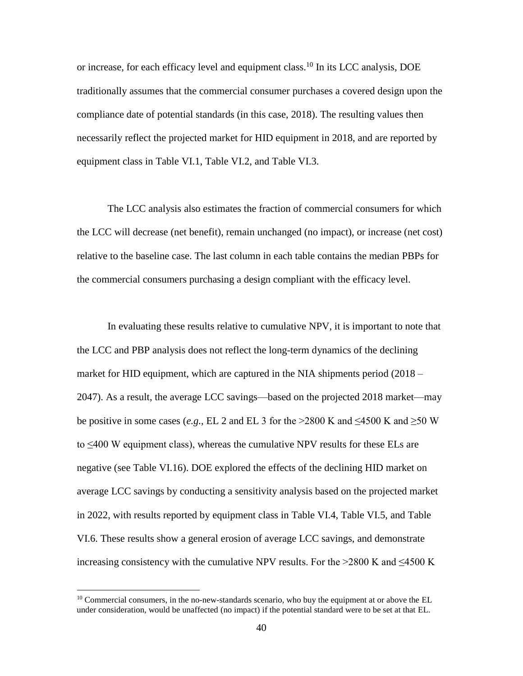or increase, for each efficacy level and equipment class.<sup>10</sup> In its LCC analysis, DOE traditionally assumes that the commercial consumer purchases a covered design upon the compliance date of potential standards (in this case, 2018). The resulting values then necessarily reflect the projected market for HID equipment in 2018, and are reported by equipment class in [Table VI.1,](#page-41-0) [Table VI.2,](#page-42-0) and [Table VI.3.](#page-42-1)

 the commercial consumers purchasing a design compliant with the efficacy level. The LCC analysis also estimates the fraction of commercial consumers for which the LCC will decrease (net benefit), remain unchanged (no impact), or increase (net cost) relative to the baseline case. The last column in each table contains the median PBPs for

 market for HID equipment, which are captured in the NIA shipments period (2018 – be positive in some cases (*e.g.*, EL 2 and EL 3 for the >2800 K and  $\leq$ 4500 K and  $\geq$ 50 W to ≤400 W equipment class), whereas the cumulative NPV results for these ELs are average LCC savings by conducting a sensitivity analysis based on the projected market In evaluating these results relative to cumulative NPV, it is important to note that the LCC and PBP analysis does not reflect the long-term dynamics of the declining 2047). As a result, the average LCC savings—based on the projected 2018 market—may negative (see [Table VI.16\)](#page-53-1). DOE explored the effects of the declining HID market on in 2022, with results reported by equipment class in [Table VI.4,](#page-43-0) [Table VI.5,](#page-43-1) and [Table](#page-44-2)  [VI.6.](#page-44-2) These results show a general erosion of average LCC savings, and demonstrate increasing consistency with the cumulative NPV results. For the >2800 K and  $\leq$ 4500 K

 $\overline{a}$ 

 under consideration, would be unaffected (no impact) if the potential standard were to be set at that EL.  $10$  Commercial consumers, in the no-new-standards scenario, who buy the equipment at or above the EL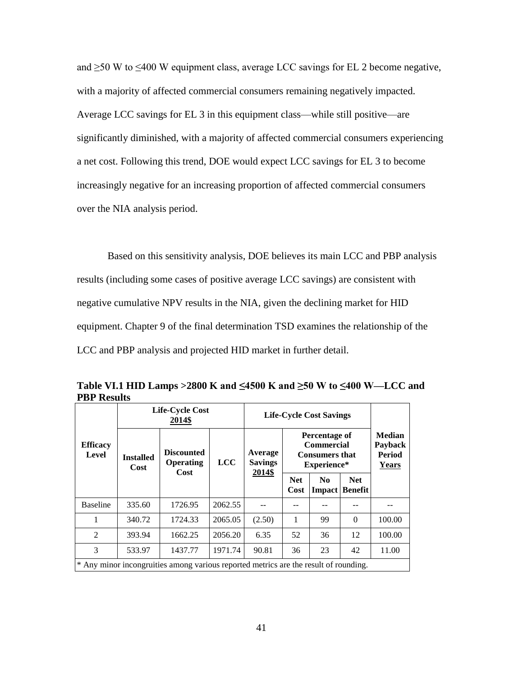and ≥50 W to ≤400 W equipment class, average LCC savings for EL 2 become negative, with a majority of affected commercial consumers remaining negatively impacted. Average LCC savings for EL 3 in this equipment class—while still positive—are significantly diminished, with a majority of affected commercial consumers experiencing a net cost. Following this trend, DOE would expect LCC savings for EL 3 to become increasingly negative for an increasing proportion of affected commercial consumers over the NIA analysis period.

Based on this sensitivity analysis, DOE believes its main LCC and PBP analysis results (including some cases of positive average LCC savings) are consistent with negative cumulative NPV results in the NIA, given the declining market for HID equipment. Chapter 9 of the final determination TSD examines the relationship of the LCC and PBP analysis and projected HID market in further detail.

|                          | Life-Cycle Cost<br>2014\$ |                                                                                      |            | <b>Life-Cycle Cost Savings</b> |                    |                                                                            |                       |                                                           |
|--------------------------|---------------------------|--------------------------------------------------------------------------------------|------------|--------------------------------|--------------------|----------------------------------------------------------------------------|-----------------------|-----------------------------------------------------------|
| <b>Efficacy</b><br>Level | <b>Installed</b><br>Cost  | <b>Discounted</b><br><b>Operating</b><br>Cost                                        | <b>LCC</b> | Average<br><b>Savings</b>      |                    | Percentage of<br><b>Commercial</b><br><b>Consumers that</b><br>Experience* |                       | <b>Median</b><br>Payback<br><b>Period</b><br><b>Years</b> |
|                          |                           |                                                                                      |            | 2014\$                         | <b>Net</b><br>Cost | N <sub>0</sub><br>Impact                                                   | <b>Net</b><br>Benefit |                                                           |
| <b>Baseline</b>          | 335.60                    | 1726.95                                                                              | 2062.55    |                                |                    |                                                                            |                       |                                                           |
| 1                        | 340.72                    | 1724.33                                                                              | 2065.05    | (2.50)                         | 1                  | 99                                                                         | $\Omega$              | 100.00                                                    |
| 2                        | 393.94                    | 1662.25                                                                              | 2056.20    | 6.35                           | 52                 | 36                                                                         | 12                    | 100.00                                                    |
| 3                        | 533.97                    | 1437.77                                                                              | 1971.74    | 90.81                          | 36                 | 23                                                                         | 42                    | 11.00                                                     |
|                          |                           | * Any minor incongruities among various reported metrics are the result of rounding. |            |                                |                    |                                                                            |                       |                                                           |

<span id="page-41-0"></span>**Table VI.1 HID Lamps >2800 K and ≤4500 K and ≥50 W to ≤400 W—LCC and PBP Results**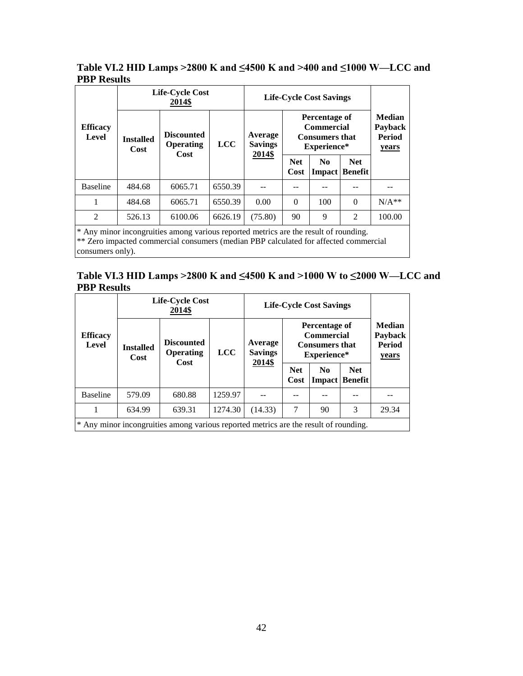# <span id="page-42-0"></span>**Table VI.2 HID Lamps >2800 K and ≤4500 K and >400 and ≤1000 W—LCC and PBP Results**

|                          | <b>Life-Cycle Cost</b><br>2014\$ |                                                                                      |            | <b>Life-Cycle Cost Savings</b>      |                    |                                                                            |                       |                                             |
|--------------------------|----------------------------------|--------------------------------------------------------------------------------------|------------|-------------------------------------|--------------------|----------------------------------------------------------------------------|-----------------------|---------------------------------------------|
| <b>Efficacy</b><br>Level | <b>Installed</b><br>Cost         | <b>Discounted</b><br>Operating<br>Cost                                               | <b>LCC</b> | Average<br><b>Savings</b><br>2014\$ |                    | Percentage of<br><b>Commercial</b><br><b>Consumers that</b><br>Experience* |                       | <b>Median</b><br>Payback<br>Period<br>years |
|                          |                                  |                                                                                      |            |                                     | <b>Net</b><br>Cost | N <sub>0</sub><br>Impact                                                   | <b>Net</b><br>Benefit |                                             |
| <b>Baseline</b>          | 484.68                           | 6065.71                                                                              | 6550.39    |                                     |                    |                                                                            |                       |                                             |
| 1                        | 484.68                           | 6065.71                                                                              | 6550.39    | 0.00                                | $\Omega$           | 100                                                                        | $\Omega$              | $N/A**$                                     |
| $\overline{2}$           | 526.13                           | 6100.06                                                                              | 6626.19    | (75.80)                             | 90                 | 9                                                                          | $\overline{2}$        | 100.00                                      |
|                          |                                  | * Any minor incongruities among various reported metrics are the result of rounding. |            |                                     |                    |                                                                            |                       |                                             |

\*\* Zero impacted commercial consumers (median PBP calculated for affected commercial consumers only).

# <span id="page-42-1"></span>**Table VI.3 HID Lamps >2800 K and ≤4500 K and >1000 W to ≤2000 W—LCC and PBP Results**

|                          |                          | <b>Life-Cycle Cost</b><br>2014\$                                                     |            |                                     | <b>Life-Cycle Cost Savings</b> |                                                                            |                                     |                                                           |
|--------------------------|--------------------------|--------------------------------------------------------------------------------------|------------|-------------------------------------|--------------------------------|----------------------------------------------------------------------------|-------------------------------------|-----------------------------------------------------------|
| <b>Efficacy</b><br>Level | <b>Installed</b><br>Cost | <b>Discounted</b><br><b>Operating</b><br>Cost                                        | <b>LCC</b> | Average<br><b>Savings</b><br>2014\$ |                                | Percentage of<br><b>Commercial</b><br><b>Consumers that</b><br>Experience* |                                     | <b>Median</b><br>Payback<br><b>Period</b><br><b>years</b> |
|                          |                          |                                                                                      |            |                                     | <b>Net</b><br>Cost             | No.                                                                        | <b>Net</b><br><b>Impact Benefit</b> |                                                           |
| <b>Baseline</b>          | 579.09                   | 680.88                                                                               | 1259.97    |                                     |                                |                                                                            |                                     |                                                           |
|                          | 634.99                   | 639.31                                                                               | 1274.30    | (14.33)                             | 7                              | 90                                                                         | 3                                   | 29.34                                                     |
|                          |                          | * Any minor incongruities among various reported metrics are the result of rounding. |            |                                     |                                |                                                                            |                                     |                                                           |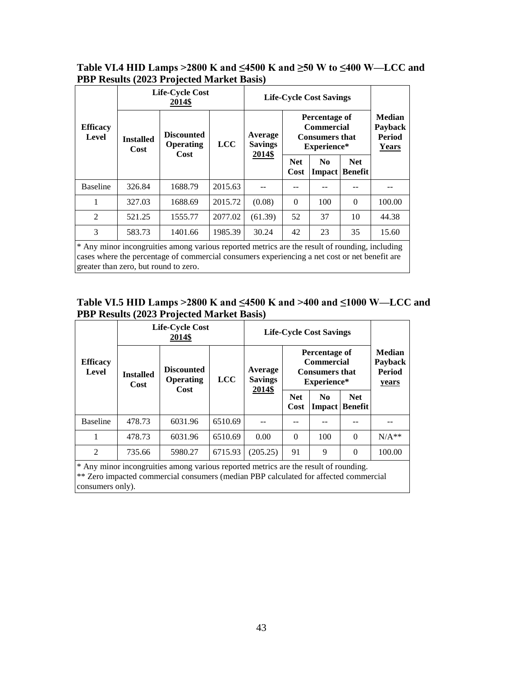# <span id="page-43-0"></span>**Table VI.4 HID Lamps >2800 K and ≤4500 K and ≥50 W to ≤400 W—LCC and PBP Results (2023 Projected Market Basis)**

|                                                                                                                                                                                                                                          | <b>Life-Cycle Cost</b><br>2014\$ |                                        |            | <b>Life-Cycle Cost Savings</b>      |                                                       |                                                                            |                              |                                                           |  |  |
|------------------------------------------------------------------------------------------------------------------------------------------------------------------------------------------------------------------------------------------|----------------------------------|----------------------------------------|------------|-------------------------------------|-------------------------------------------------------|----------------------------------------------------------------------------|------------------------------|-----------------------------------------------------------|--|--|
| <b>Efficacy</b><br>Level                                                                                                                                                                                                                 | <b>Installed</b><br>Cost         | <b>Discounted</b><br>Operating<br>Cost | <b>LCC</b> | Average<br><b>Savings</b><br>2014\$ |                                                       | Percentage of<br><b>Commercial</b><br><b>Consumers that</b><br>Experience* |                              | <b>Median</b><br>Payback<br><b>Period</b><br><b>Years</b> |  |  |
|                                                                                                                                                                                                                                          |                                  |                                        |            |                                     | <b>Net</b><br>N <sub>0</sub><br>Cost<br><b>Impact</b> |                                                                            | <b>Net</b><br><b>Benefit</b> |                                                           |  |  |
| <b>Baseline</b>                                                                                                                                                                                                                          | 326.84                           | 1688.79                                | 2015.63    |                                     |                                                       |                                                                            |                              |                                                           |  |  |
| 1                                                                                                                                                                                                                                        | 327.03                           | 1688.69                                | 2015.72    | (0.08)                              | $\Omega$                                              | 100                                                                        | $\Omega$                     | 100.00                                                    |  |  |
| $\mathfrak{D}$                                                                                                                                                                                                                           | 521.25                           | 1555.77                                | 2077.02    | (61.39)                             | 52                                                    | 37                                                                         | 10                           | 44.38                                                     |  |  |
| 3                                                                                                                                                                                                                                        | 583.73                           | 1401.66                                | 1985.39    | 30.24                               | 42                                                    | 23                                                                         | 35                           | 15.60                                                     |  |  |
| * Any minor incongruities among various reported metrics are the result of rounding, including<br>cases where the percentage of commercial consumers experiencing a net cost or net benefit are<br>greater than zero, but round to zero. |                                  |                                        |            |                                     |                                                       |                                                                            |                              |                                                           |  |  |

# <span id="page-43-1"></span>**Table VI.5 HID Lamps >2800 K and ≤4500 K and >400 and ≤1000 W—LCC and PBP Results (2023 Projected Market Basis)**

|                                                                                                                                                                              |                          | <b>Life-Cycle Cost</b><br>2014\$       |            | <b>Life-Cycle Cost Savings</b> |                                                                                                                                         |     |          |         |                    |               |                              |  |
|------------------------------------------------------------------------------------------------------------------------------------------------------------------------------|--------------------------|----------------------------------------|------------|--------------------------------|-----------------------------------------------------------------------------------------------------------------------------------------|-----|----------|---------|--------------------|---------------|------------------------------|--|
| <b>Efficacy</b><br>Level                                                                                                                                                     | <b>Installed</b><br>Cost | <b>Discounted</b><br>Operating<br>Cost | <b>LCC</b> | Average<br><b>Savings</b>      | <b>Median</b><br>Percentage of<br><b>Commercial</b><br>Payback<br><b>Period</b><br><b>Consumers that</b><br>Experience*<br><b>years</b> |     |          |         |                    |               |                              |  |
|                                                                                                                                                                              |                          |                                        |            | 2014\$                         |                                                                                                                                         |     |          |         | <b>Net</b><br>Cost | No.<br>Impact | <b>Net</b><br><b>Benefit</b> |  |
| <b>Baseline</b>                                                                                                                                                              | 478.73                   | 6031.96                                | 6510.69    |                                |                                                                                                                                         |     |          |         |                    |               |                              |  |
| 1                                                                                                                                                                            | 478.73                   | 6031.96                                | 6510.69    | 0.00                           | $\Omega$                                                                                                                                | 100 | $\Omega$ | $N/A**$ |                    |               |                              |  |
| $\overline{2}$                                                                                                                                                               | 735.66                   | 5980.27                                | 6715.93    | (205.25)                       | 91                                                                                                                                      | 9   | $\Omega$ | 100.00  |                    |               |                              |  |
| * Any minor incongruities among various reported metrics are the result of rounding.<br>** Zero impacted commercial consumers (median PBP calculated for affected commercial |                          |                                        |            |                                |                                                                                                                                         |     |          |         |                    |               |                              |  |

consumers only).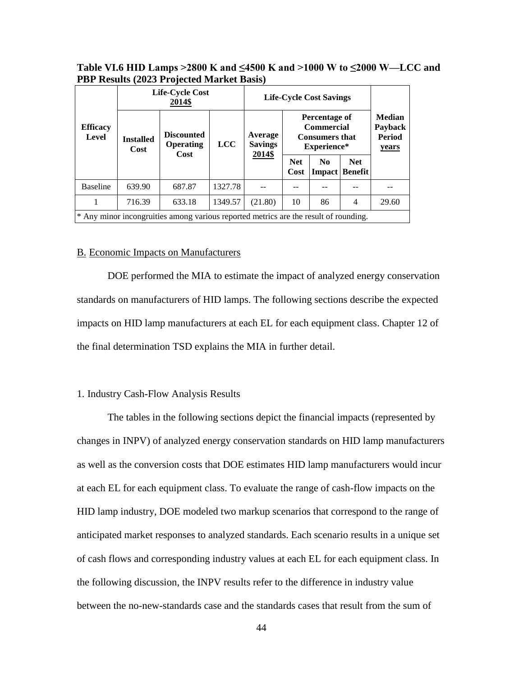<span id="page-44-2"></span>

| Table VI.6 HID Lamps > 2800 K and $\leq$ 4500 K and > 1000 W to $\leq$ 2000 W—LCC and |  |
|---------------------------------------------------------------------------------------|--|
| <b>PBP Results (2023 Projected Market Basis)</b>                                      |  |

|                                                                                      |                          | <b>Life-Cycle Cost</b><br>2014\$       |            |                                     | <b>Life-Cycle Cost Savings</b>                                                                                                   |    |   |                    |                |                                       |  |
|--------------------------------------------------------------------------------------|--------------------------|----------------------------------------|------------|-------------------------------------|----------------------------------------------------------------------------------------------------------------------------------|----|---|--------------------|----------------|---------------------------------------|--|
| <b>Efficacy</b><br>Level                                                             | <b>Installed</b><br>Cost | <b>Discounted</b><br>Operating<br>Cost | <b>LCC</b> | Average<br><b>Savings</b><br>2014\$ | <b>Median</b><br>Percentage of<br><b>Commercial</b><br>Payback<br><b>Period</b><br><b>Consumers that</b><br>Experience*<br>years |    |   |                    |                |                                       |  |
|                                                                                      |                          |                                        |            |                                     |                                                                                                                                  |    |   | <b>Net</b><br>Cost | N <sub>0</sub> | <b>Net</b><br><b>Impact   Benefit</b> |  |
| <b>Baseline</b>                                                                      | 639.90                   | 687.87                                 | 1327.78    |                                     |                                                                                                                                  |    |   |                    |                |                                       |  |
|                                                                                      | 716.39                   | 633.18                                 | 1349.57    | (21.80)                             | 10                                                                                                                               | 86 | 4 | 29.60              |                |                                       |  |
| * Any minor incongruities among various reported metrics are the result of rounding. |                          |                                        |            |                                     |                                                                                                                                  |    |   |                    |                |                                       |  |

#### <span id="page-44-0"></span>B. Economic Impacts on Manufacturers

 DOE performed the MIA to estimate the impact of analyzed energy conservation standards on manufacturers of HID lamps. The following sections describe the expected impacts on HID lamp manufacturers at each EL for each equipment class. Chapter 12 of the final determination TSD explains the MIA in further detail.

#### <span id="page-44-1"></span>1. Industry Cash-Flow Analysis Results

 changes in INPV) of analyzed energy conservation standards on HID lamp manufacturers the following discussion, the INPV results refer to the difference in industry value The tables in the following sections depict the financial impacts (represented by as well as the conversion costs that DOE estimates HID lamp manufacturers would incur at each EL for each equipment class. To evaluate the range of cash-flow impacts on the HID lamp industry, DOE modeled two markup scenarios that correspond to the range of anticipated market responses to analyzed standards. Each scenario results in a unique set of cash flows and corresponding industry values at each EL for each equipment class. In between the no-new-standards case and the standards cases that result from the sum of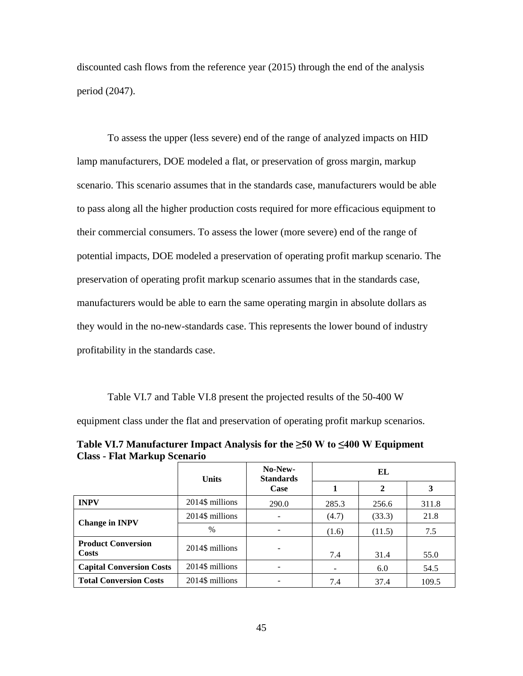discounted cash flows from the reference year (2015) through the end of the analysis period (2047).

 To assess the upper (less severe) end of the range of analyzed impacts on HID lamp manufacturers, DOE modeled a flat, or preservation of gross margin, markup scenario. This scenario assumes that in the standards case, manufacturers would be able to pass along all the higher production costs required for more efficacious equipment to their commercial consumers. To assess the lower (more severe) end of the range of potential impacts, DOE modeled a preservation of operating profit markup scenario. The preservation of operating profit markup scenario assumes that in the standards case, manufacturers would be able to earn the same operating margin in absolute dollars as they would in the no-new-standards case. This represents the lower bound of industry profitability in the standards case.

[Table VI.7](#page-45-0) and [Table VI.8](#page-46-0) present the projected results of the 50-400 W

equipment class under the flat and preservation of operating profit markup scenarios.

<span id="page-45-0"></span>**Table VI.7 Manufacturer Impact Analysis for the ≥50 W to ≤400 W Equipment Class - Flat Markup Scenario** 

|                                    | <b>Units</b>    | No-New-<br><b>Standards</b> | EL    |              |       |  |
|------------------------------------|-----------------|-----------------------------|-------|--------------|-------|--|
|                                    |                 | Case                        |       | $\mathbf{2}$ | 3     |  |
| <b>INPV</b>                        | 2014\$ millions | 290.0                       | 285.3 | 256.6        | 311.8 |  |
|                                    | 2014\$ millions |                             | (4.7) | (33.3)       | 21.8  |  |
| <b>Change in INPV</b>              | $\%$            |                             | (1.6) | (11.5)       | 7.5   |  |
| <b>Product Conversion</b><br>Costs | 2014\$ millions |                             | 7.4   | 31.4         | 55.0  |  |
| <b>Capital Conversion Costs</b>    | 2014\$ millions |                             |       | 6.0          | 54.5  |  |
| <b>Total Conversion Costs</b>      | 2014\$ millions |                             | 7.4   | 37.4         | 109.5 |  |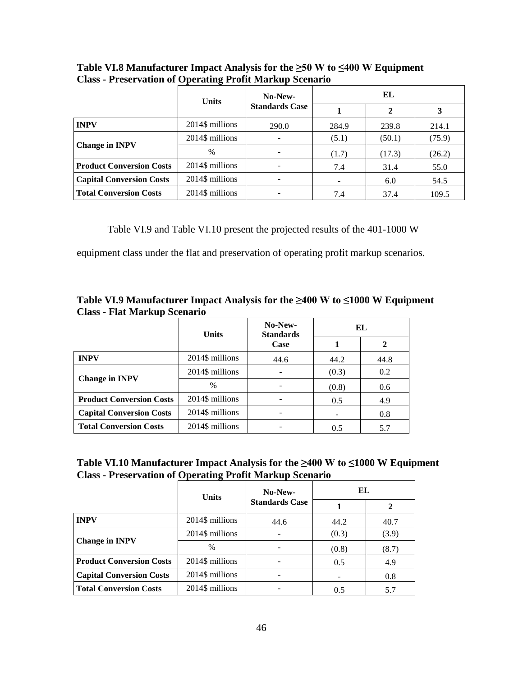|                                 |                 | No-New-<br><b>Units</b> |       | EL          |        |  |  |
|---------------------------------|-----------------|-------------------------|-------|-------------|--------|--|--|
|                                 |                 | <b>Standards Case</b>   |       | $\mathbf 2$ | 3      |  |  |
| <b>INPV</b>                     | 2014\$ millions | 290.0                   | 284.9 | 239.8       | 214.1  |  |  |
|                                 | 2014\$ millions |                         | (5.1) | (50.1)      | (75.9) |  |  |
| <b>Change in INPV</b>           | $\%$            |                         | (1.7) | (17.3)      | (26.2) |  |  |
| <b>Product Conversion Costs</b> | 2014\$ millions |                         | 7.4   | 31.4        | 55.0   |  |  |
| <b>Capital Conversion Costs</b> | 2014\$ millions |                         |       | 6.0         | 54.5   |  |  |
| <b>Total Conversion Costs</b>   | 2014\$ millions |                         | 7.4   | 37.4        | 109.5  |  |  |

<span id="page-46-0"></span>**Table VI.8 Manufacturer Impact Analysis for the ≥50 W to ≤400 W Equipment Class - Preservation of Operating Profit Markup Scenario** 

[Table VI.9](#page-46-1) and [Table VI.10](#page-46-2) present the projected results of the 401-1000 W

equipment class under the flat and preservation of operating profit markup scenarios.

<span id="page-46-1"></span>

| Table VI.9 Manufacturer Impact Analysis for the $\geq 400$ W to $\leq 1000$ W Equipment |  |
|-----------------------------------------------------------------------------------------|--|
| <b>Class - Flat Markup Scenario</b>                                                     |  |

|                                                    | <b>Units</b>    | No-New-<br><b>Standards</b> | EL    |      |  |
|----------------------------------------------------|-----------------|-----------------------------|-------|------|--|
|                                                    |                 | Case                        |       |      |  |
| <b>INPV</b>                                        | 2014\$ millions | 44.6                        | 44.2  | 44.8 |  |
| <b>Change in INPV</b>                              | 2014\$ millions |                             | (0.3) | 0.2  |  |
|                                                    | $\%$            |                             | (0.8) | 0.6  |  |
| <b>Product Conversion Costs</b>                    | 2014\$ millions |                             | 0.5   | 4.9  |  |
| 2014\$ millions<br><b>Capital Conversion Costs</b> |                 |                             |       | 0.8  |  |
| <b>Total Conversion Costs</b>                      | 2014\$ millions |                             | 0.5   | 5.7  |  |

<span id="page-46-2"></span>

| Table VI.10 Manufacturer Impact Analysis for the $\geq 400$ W to $\leq 1000$ W Equipment |
|------------------------------------------------------------------------------------------|
| <b>Class - Preservation of Operating Profit Markup Scenario</b>                          |

|                                 | <b>Units</b>    | No-New-               | EL    |       |  |
|---------------------------------|-----------------|-----------------------|-------|-------|--|
|                                 |                 | <b>Standards Case</b> |       |       |  |
| <b>INPV</b>                     | 2014\$ millions | 44.6                  | 44.2  | 40.7  |  |
| <b>Change in INPV</b>           | 2014\$ millions |                       | (0.3) | (3.9) |  |
|                                 | $\frac{0}{0}$   |                       | (0.8) | (8.7) |  |
| <b>Product Conversion Costs</b> | 2014\$ millions |                       | 0.5   | 4.9   |  |
| <b>Capital Conversion Costs</b> | 2014\$ millions |                       |       | 0.8   |  |
| <b>Total Conversion Costs</b>   | 2014\$ millions |                       | 0.5   | 5.7   |  |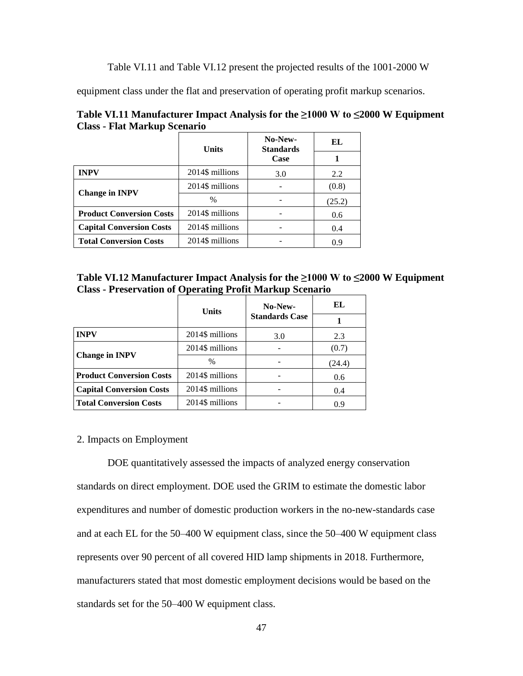[Table VI.11](#page-47-1) and [Table VI.12](#page-47-2) present the projected results of the 1001-2000 W

equipment class under the flat and preservation of operating profit markup scenarios.

|                                 | <b>Units</b>    | No-New-<br><b>Standards</b> | EL     |
|---------------------------------|-----------------|-----------------------------|--------|
|                                 |                 | Case                        |        |
| <b>INPV</b>                     | 2014\$ millions | 3.0                         | 2.2    |
| <b>Change in INPV</b>           | 2014\$ millions |                             | (0.8)  |
|                                 | $\%$            |                             | (25.2) |
| <b>Product Conversion Costs</b> | 2014\$ millions |                             | 0.6    |
| <b>Capital Conversion Costs</b> | 2014\$ millions |                             | 0.4    |
| <b>Total Conversion Costs</b>   | 2014\$ millions |                             | 0.9    |

<span id="page-47-1"></span>**Table VI.11 Manufacturer Impact Analysis for the ≥1000 W to ≤2000 W Equipment Class - Flat Markup Scenario** 

<span id="page-47-2"></span>

| Table VI.12 Manufacturer Impact Analysis for the $\geq$ 1000 W to $\leq$ 2000 W Equipment |
|-------------------------------------------------------------------------------------------|
| <b>Class - Preservation of Operating Profit Markup Scenario</b>                           |

|                                 | <b>Units</b>    | No-New-               | EL     |
|---------------------------------|-----------------|-----------------------|--------|
|                                 |                 | <b>Standards Case</b> |        |
| <b>INPV</b>                     | 2014\$ millions | 3.0                   | 2.3    |
|                                 | 2014\$ millions |                       | (0.7)  |
| <b>Change in INPV</b>           | $\%$            |                       | (24.4) |
| <b>Product Conversion Costs</b> | 2014\$ millions |                       | 0.6    |
| <b>Capital Conversion Costs</b> | 2014\$ millions |                       | 0.4    |
| <b>Total Conversion Costs</b>   | 2014\$ millions |                       | 0.9    |

# <span id="page-47-0"></span>2. Impacts on Employment

 DOE quantitatively assessed the impacts of analyzed energy conservation expenditures and number of domestic production workers in the no-new-standards case standards on direct employment. DOE used the GRIM to estimate the domestic labor and at each EL for the 50–400 W equipment class, since the 50–400 W equipment class represents over 90 percent of all covered HID lamp shipments in 2018. Furthermore, manufacturers stated that most domestic employment decisions would be based on the standards set for the 50–400 W equipment class.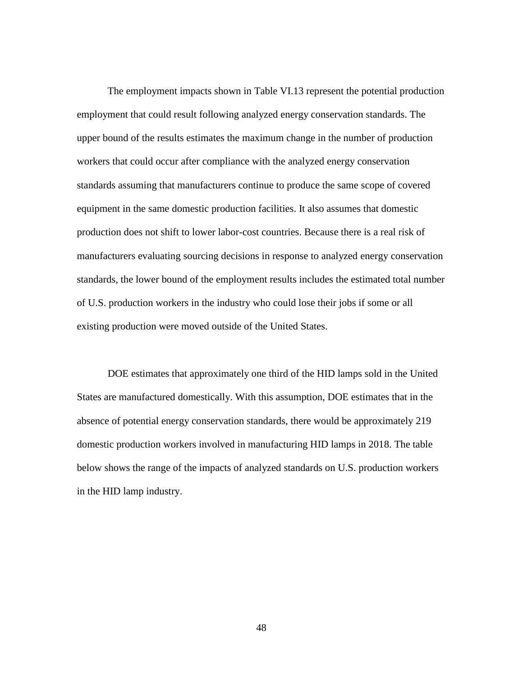The employment impacts shown in [Table VI.13](#page-49-1) represent the potential production employment that could result following analyzed energy conservation standards. The workers that could occur after compliance with the analyzed energy conservation upper bound of the results estimates the maximum change in the number of production standards assuming that manufacturers continue to produce the same scope of covered equipment in the same domestic production facilities. It also assumes that domestic production does not shift to lower labor-cost countries. Because there is a real risk of manufacturers evaluating sourcing decisions in response to analyzed energy conservation standards, the lower bound of the employment results includes the estimated total number of U.S. production workers in the industry who could lose their jobs if some or all existing production were moved outside of the United States.

 absence of potential energy conservation standards, there would be approximately 219 DOE estimates that approximately one third of the HID lamps sold in the United States are manufactured domestically. With this assumption, DOE estimates that in the domestic production workers involved in manufacturing HID lamps in 2018. The table below shows the range of the impacts of analyzed standards on U.S. production workers in the HID lamp industry.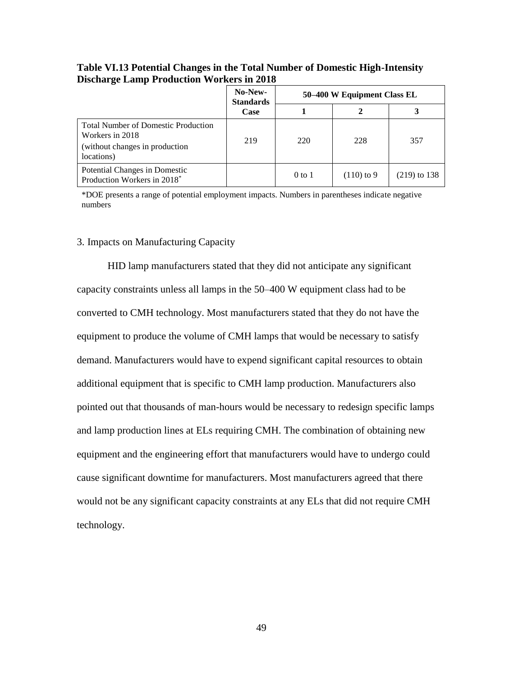|                                                                                                               | No-New-<br><b>Standards</b> | 50–400 W Equipment Class EL |              |                |
|---------------------------------------------------------------------------------------------------------------|-----------------------------|-----------------------------|--------------|----------------|
|                                                                                                               | Case                        |                             |              |                |
| <b>Total Number of Domestic Production</b><br>Workers in 2018<br>(without changes in production<br>locations) | 219                         | 220                         | 228          | 357            |
| Potential Changes in Domestic<br>Production Workers in 2018*                                                  |                             | $0$ to $1$                  | $(110)$ to 9 | $(219)$ to 138 |

# <span id="page-49-1"></span> **Table VI.13 Potential Changes in the Total Number of Domestic High-Intensity Discharge Lamp Production Workers in 2018**

 \*DOE presents a range of potential employment impacts. Numbers in parentheses indicate negative numbers

#### <span id="page-49-0"></span>3. Impacts on Manufacturing Capacity

HID lamp manufacturers stated that they did not anticipate any significant capacity constraints unless all lamps in the 50–400 W equipment class had to be converted to CMH technology. Most manufacturers stated that they do not have the equipment to produce the volume of CMH lamps that would be necessary to satisfy demand. Manufacturers would have to expend significant capital resources to obtain additional equipment that is specific to CMH lamp production. Manufacturers also pointed out that thousands of man-hours would be necessary to redesign specific lamps and lamp production lines at ELs requiring CMH. The combination of obtaining new equipment and the engineering effort that manufacturers would have to undergo could cause significant downtime for manufacturers. Most manufacturers agreed that there would not be any significant capacity constraints at any ELs that did not require CMH technology.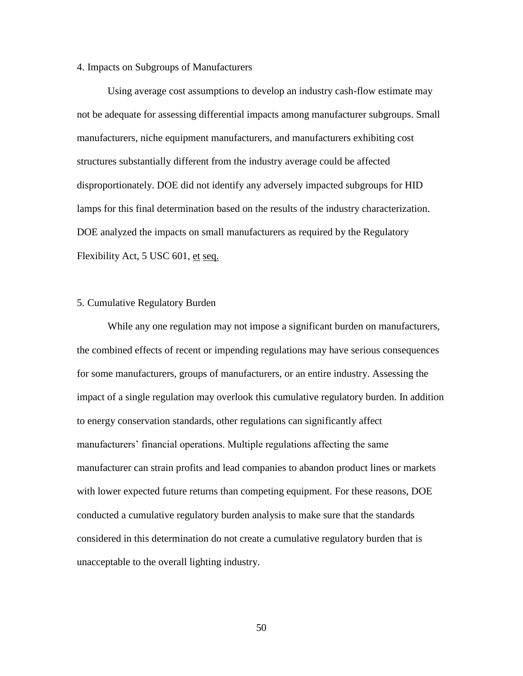#### <span id="page-50-0"></span>4. Impacts on Subgroups of Manufacturers

Flexibility Act, 5 USC 601, et seq. Using average cost assumptions to develop an industry cash-flow estimate may not be adequate for assessing differential impacts among manufacturer subgroups. Small manufacturers, niche equipment manufacturers, and manufacturers exhibiting cost structures substantially different from the industry average could be affected disproportionately. DOE did not identify any adversely impacted subgroups for HID lamps for this final determination based on the results of the industry characterization. DOE analyzed the impacts on small manufacturers as required by the Regulatory

#### <span id="page-50-1"></span>5. Cumulative Regulatory Burden

 conducted a cumulative regulatory burden analysis to make sure that the standards While any one regulation may not impose a significant burden on manufacturers, the combined effects of recent or impending regulations may have serious consequences for some manufacturers, groups of manufacturers, or an entire industry. Assessing the impact of a single regulation may overlook this cumulative regulatory burden. In addition to energy conservation standards, other regulations can significantly affect manufacturers' financial operations. Multiple regulations affecting the same manufacturer can strain profits and lead companies to abandon product lines or markets with lower expected future returns than competing equipment. For these reasons, DOE considered in this determination do not create a cumulative regulatory burden that is unacceptable to the overall lighting industry.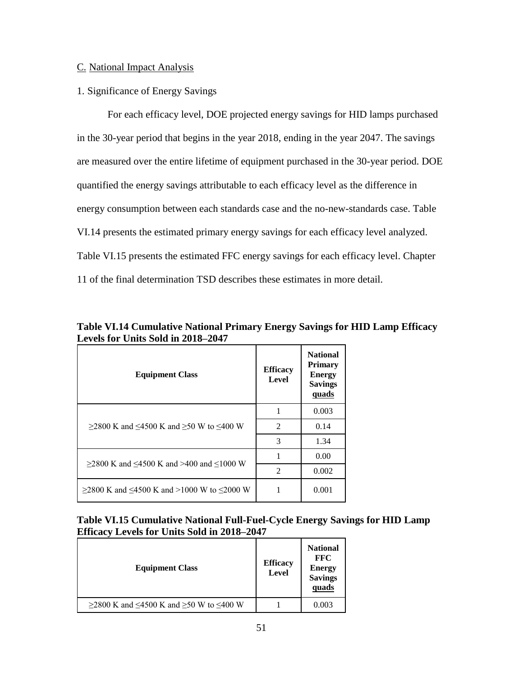# <span id="page-51-0"></span>C. National Impact Analysis

# <span id="page-51-1"></span>1. Significance of Energy Savings

 energy consumption between each standards case and the no-new-standards case. [Table](#page-51-2)  [Table VI.15](#page-51-3) presents the estimated FFC energy savings for each efficacy level. Chapter For each efficacy level, DOE projected energy savings for HID lamps purchased in the 30-year period that begins in the year 2018, ending in the year 2047. The savings are measured over the entire lifetime of equipment purchased in the 30-year period. DOE quantified the energy savings attributable to each efficacy level as the difference in [VI.14](#page-51-2) presents the estimated primary energy savings for each efficacy level analyzed. 11 of the final determination TSD describes these estimates in more detail.

| <b>Equipment Class</b>                                     | <b>Efficacy</b><br>Level | <b>National</b><br><b>Primary</b><br><b>Energy</b><br><b>Savings</b><br>quads |
|------------------------------------------------------------|--------------------------|-------------------------------------------------------------------------------|
|                                                            |                          | 0.003                                                                         |
| $>2800$ K and $\leq 4500$ K and $>50$ W to $\leq 400$ W    | $\mathfrak{D}$           | 0.14                                                                          |
|                                                            | 3                        | 1.34                                                                          |
| $\geq$ 2800 K and $\leq$ 4500 K and >400 and $\leq$ 1000 W |                          | 0.00                                                                          |
|                                                            | $\mathfrak{D}$           | 0.002                                                                         |
| ≥2800 K and ≤4500 K and >1000 W to ≤2000 W                 |                          | 0.001                                                                         |

<span id="page-51-2"></span> **Levels for Units Sold in 2018–2047 Table VI.14 Cumulative National Primary Energy Savings for HID Lamp Efficacy** 

<span id="page-51-3"></span>

| Table VI.15 Cumulative National Full-Fuel-Cycle Energy Savings for HID Lamp |
|-----------------------------------------------------------------------------|
| <b>Efficacy Levels for Units Sold in 2018–2047</b>                          |

| <b>Equipment Class</b>                  | <b>Efficacy</b><br>Level | <b>National</b><br><b>FFC</b><br><b>Energy</b><br><b>Savings</b><br>quads |
|-----------------------------------------|--------------------------|---------------------------------------------------------------------------|
| ≥2800 K and ≤4500 K and ≥50 W to ≤400 W |                          | 0.003                                                                     |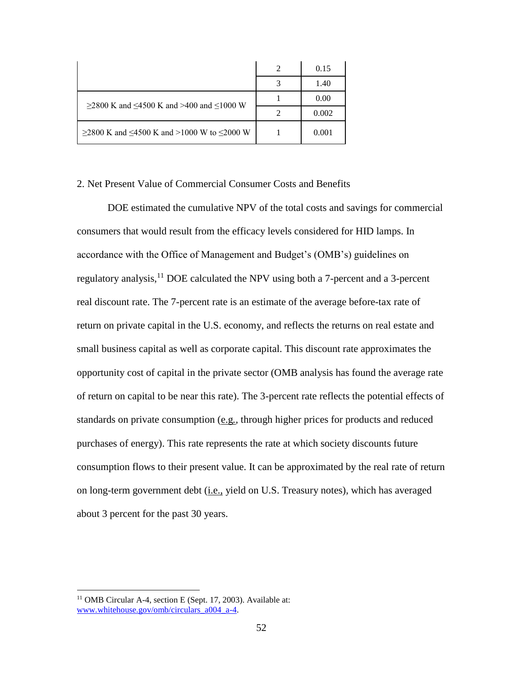|                                            | 2 | 0.15  |
|--------------------------------------------|---|-------|
|                                            |   | 1.40  |
| ≥2800 K and ≤4500 K and >400 and ≤1000 W   |   | 0.00  |
|                                            |   | 0.002 |
| ≥2800 K and ≤4500 K and >1000 W to ≤2000 W |   | 0.001 |

# <span id="page-52-0"></span>2. Net Present Value of Commercial Consumer Costs and Benefits

 consumers that would result from the efficacy levels considered for HID lamps. In DOE estimated the cumulative NPV of the total costs and savings for commercial accordance with the Office of Management and Budget's (OMB's) guidelines on regulatory analysis, <sup>11</sup> DOE calculated the NPV using both a 7-percent and a 3-percent real discount rate. The 7-percent rate is an estimate of the average before-tax rate of return on private capital in the U.S. economy, and reflects the returns on real estate and small business capital as well as corporate capital. This discount rate approximates the opportunity cost of capital in the private sector (OMB analysis has found the average rate of return on capital to be near this rate). The 3-percent rate reflects the potential effects of standards on private consumption (e.g*.,* through higher prices for products and reduced purchases of energy). This rate represents the rate at which society discounts future consumption flows to their present value. It can be approximated by the real rate of return on long-term government debt (i.e., yield on U.S. Treasury notes), which has averaged about 3 percent for the past 30 years.

 $\overline{a}$ 

<sup>&</sup>lt;sup>11</sup> OMB Circular A-4, section E (Sept. 17, 2003). Available at: [www.whitehouse.gov/omb/circulars\\_a004\\_a-4.](http://www.whitehouse.gov/omb/circulars_a004_a-4)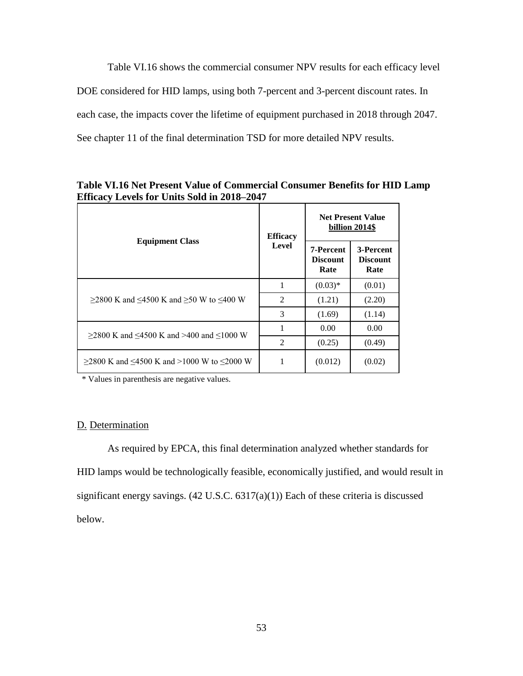[Table VI.16](#page-53-1) shows the commercial consumer NPV results for each efficacy level DOE considered for HID lamps, using both 7-percent and 3-percent discount rates. In each case, the impacts cover the lifetime of equipment purchased in 2018 through 2047. See chapter 11 of the final determination TSD for more detailed NPV results.

|                                                          | <b>Efficacy</b> | <b>Net Present Value</b><br>billion 2014\$  |                                      |
|----------------------------------------------------------|-----------------|---------------------------------------------|--------------------------------------|
| <b>Equipment Class</b>                                   | Level           | <b>7-Percent</b><br><b>Discount</b><br>Rate | 3-Percent<br><b>Discount</b><br>Rate |
|                                                          | 1               | $(0.03)*$                                   | (0.01)                               |
| $>$ 2800 K and <4500 K and >50 W to <400 W               | $\overline{2}$  | (1.21)                                      | (2.20)                               |
|                                                          | 3               | (1.69)                                      | (1.14)                               |
| $>2800$ K and $\leq 4500$ K and $>400$ and $\leq 1000$ W |                 | 0.00                                        | 0.00                                 |
|                                                          | $\overline{2}$  | (0.25)                                      | (0.49)                               |
| $>$ 2800 K and <4500 K and >1000 W to <2000 W            | 1               | (0.012)                                     | (0.02)                               |

<span id="page-53-1"></span> **Efficacy Levels for Units Sold in 2018–2047 Table VI.16 Net Present Value of Commercial Consumer Benefits for HID Lamp** 

\* Values in parenthesis are negative values.

#### <span id="page-53-0"></span>D. Determination

 As required by EPCA, this final determination analyzed whether standards for HID lamps would be technologically feasible, economically justified, and would result in significant energy savings. (42 U.S.C. 6317(a)(1)) Each of these criteria is discussed below.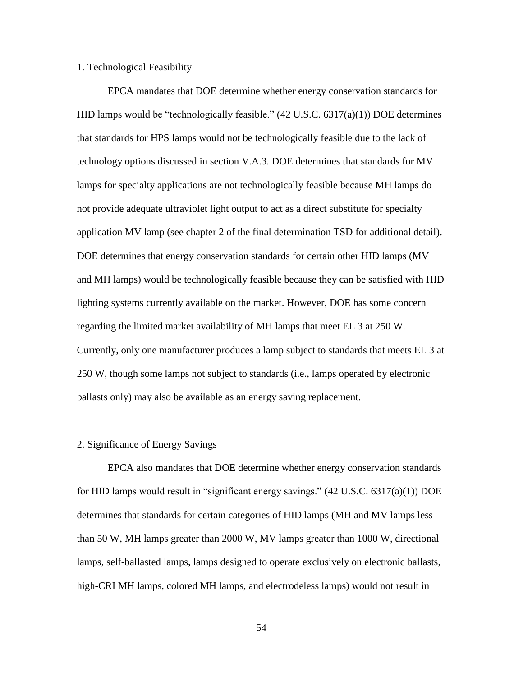#### <span id="page-54-0"></span>1. Technological Feasibility

 not provide adequate ultraviolet light output to act as a direct substitute for specialty DOE determines that energy conservation standards for certain other HID lamps (MV regarding the limited market availability of MH lamps that meet EL 3 at 250 W. EPCA mandates that DOE determine whether energy conservation standards for HID lamps would be "technologically feasible."  $(42 \text{ U.S.C. } 6317(a)(1))$  DOE determines that standards for HPS lamps would not be technologically feasible due to the lack of technology options discussed in section [V.A.3.](#page-25-0) DOE determines that standards for MV lamps for specialty applications are not technologically feasible because MH lamps do application MV lamp (see chapter 2 of the final determination TSD for additional detail). and MH lamps) would be technologically feasible because they can be satisfied with HID lighting systems currently available on the market. However, DOE has some concern Currently, only one manufacturer produces a lamp subject to standards that meets EL 3 at 250 W, though some lamps not subject to standards (i.e., lamps operated by electronic ballasts only) may also be available as an energy saving replacement.

#### <span id="page-54-1"></span>2. Significance of Energy Savings

 for HID lamps would result in "significant energy savings." (42 U.S.C. 6317(a)(1)) DOE EPCA also mandates that DOE determine whether energy conservation standards determines that standards for certain categories of HID lamps (MH and MV lamps less than 50 W, MH lamps greater than 2000 W, MV lamps greater than 1000 W, directional lamps, self-ballasted lamps, lamps designed to operate exclusively on electronic ballasts, high-CRI MH lamps, colored MH lamps, and electrodeless lamps) would not result in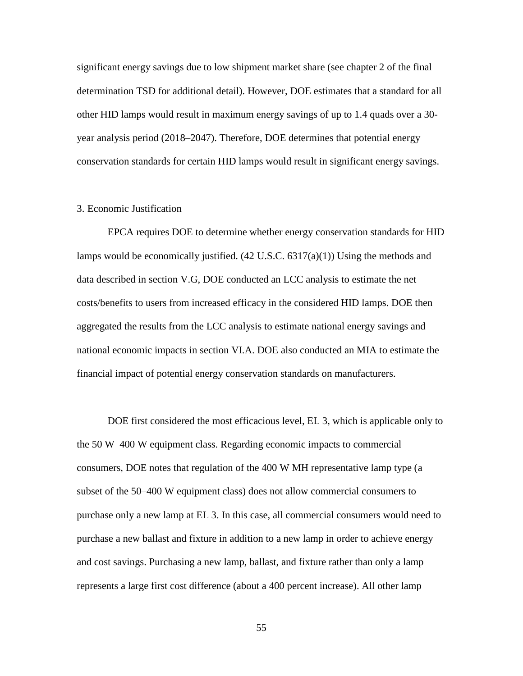other HID lamps would result in maximum energy savings of up to 1.4 quads over a 30 significant energy savings due to low shipment market share (see chapter 2 of the final determination TSD for additional detail). However, DOE estimates that a standard for all year analysis period (2018–2047). Therefore, DOE determines that potential energy conservation standards for certain HID lamps would result in significant energy savings.

#### <span id="page-55-0"></span>3. Economic Justification

 3. Economic Justification EPCA requires DOE to determine whether energy conservation standards for HID lamps would be economically justified. (42 U.S.C. 6317(a)(1)) Using the methods and data described in section [V.G,](#page-37-0) DOE conducted an LCC analysis to estimate the net costs/benefits to users from increased efficacy in the considered HID lamps. DOE then aggregated the results from the LCC analysis to estimate national energy savings and national economic impacts in section [VI.A.](#page-39-1) DOE also conducted an MIA to estimate the financial impact of potential energy conservation standards on manufacturers.

 purchase only a new lamp at EL 3. In this case, all commercial consumers would need to DOE first considered the most efficacious level, EL 3, which is applicable only to the 50 W–400 W equipment class. Regarding economic impacts to commercial consumers, DOE notes that regulation of the 400 W MH representative lamp type (a subset of the 50–400 W equipment class) does not allow commercial consumers to purchase a new ballast and fixture in addition to a new lamp in order to achieve energy and cost savings. Purchasing a new lamp, ballast, and fixture rather than only a lamp represents a large first cost difference (about a 400 percent increase). All other lamp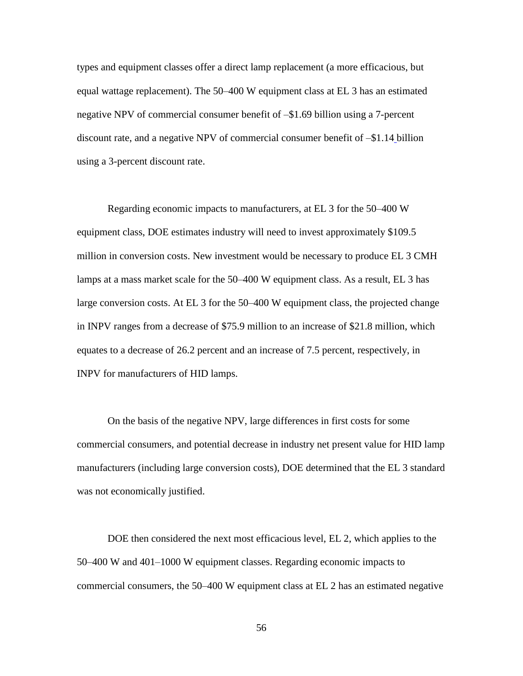negative NPV of commercial consumer benefit of –\$1.69 billion using a 7-percent using a 3-percent discount rate. types and equipment classes offer a direct lamp replacement (a more efficacious, but equal wattage replacement). The 50–400 W equipment class at EL 3 has an estimated discount rate, and a negative NPV of commercial consumer benefit of –\$1.14 billion

Regarding economic impacts to manufacturers, at EL 3 for the 50–400 W equipment class, DOE estimates industry will need to invest approximately \$109.5 million in conversion costs. New investment would be necessary to produce EL 3 CMH lamps at a mass market scale for the 50–400 W equipment class. As a result, EL 3 has large conversion costs. At EL 3 for the 50–400 W equipment class, the projected change in INPV ranges from a decrease of \$75.9 million to an increase of \$21.8 million, which equates to a decrease of 26.2 percent and an increase of 7.5 percent, respectively, in INPV for manufacturers of HID lamps.

 commercial consumers, and potential decrease in industry net present value for HID lamp On the basis of the negative NPV, large differences in first costs for some manufacturers (including large conversion costs), DOE determined that the EL 3 standard was not economically justified.

DOE then considered the next most efficacious level, EL 2, which applies to the 50–400 W and 401–1000 W equipment classes. Regarding economic impacts to commercial consumers, the 50–400 W equipment class at EL 2 has an estimated negative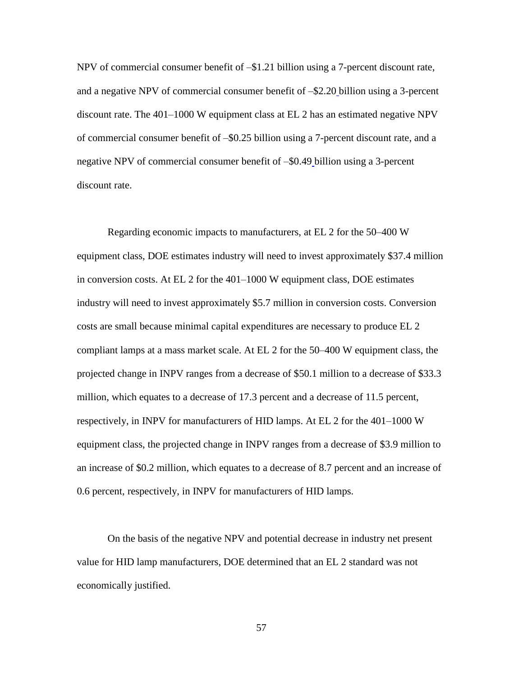NPV of commercial consumer benefit of –\$1.21 billion using a 7-percent discount rate, and a negative NPV of commercial consumer benefit of –\$2.20 billion using a 3-percent discount rate. The 401–1000 W equipment class at EL 2 has an estimated negative NPV of commercial consumer benefit of –\$0.25 billion using a 7-percent discount rate, and a negative NPV of commercial consumer benefit of –\$0.49 billion using a 3-percent discount rate.

 in conversion costs. At EL 2 for the 401–1000 W equipment class, DOE estimates projected change in INPV ranges from a decrease of \$50.1 million to a decrease of \$33.3 million, which equates to a decrease of 17.3 percent and a decrease of 11.5 percent, respectively, in INPV for manufacturers of HID lamps. At EL 2 for the 401–1000 W 0.6 percent, respectively, in INPV for manufacturers of HID lamps. Regarding economic impacts to manufacturers, at EL 2 for the 50–400 W equipment class, DOE estimates industry will need to invest approximately \$37.4 million industry will need to invest approximately \$5.7 million in conversion costs. Conversion costs are small because minimal capital expenditures are necessary to produce EL 2 compliant lamps at a mass market scale. At EL 2 for the 50–400 W equipment class, the equipment class, the projected change in INPV ranges from a decrease of \$3.9 million to an increase of \$0.2 million, which equates to a decrease of 8.7 percent and an increase of

On the basis of the negative NPV and potential decrease in industry net present value for HID lamp manufacturers, DOE determined that an EL 2 standard was not economically justified.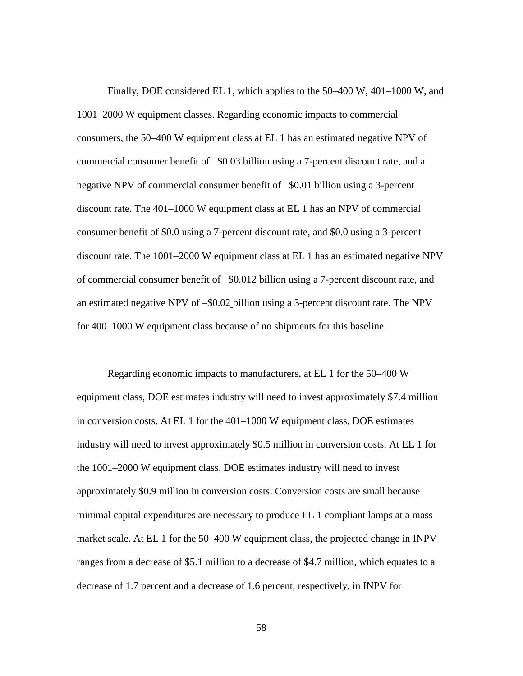Finally, DOE considered EL 1, which applies to the 50–400 W, 401–1000 W, and an estimated negative NPV of –\$0.02 billion using a 3-percent discount rate. The NPV 1001–2000 W equipment classes. Regarding economic impacts to commercial consumers, the 50–400 W equipment class at EL 1 has an estimated negative NPV of commercial consumer benefit of –\$0.03 billion using a 7-percent discount rate, and a negative NPV of commercial consumer benefit of –\$0.01 billion using a 3-percent discount rate. The 401–1000 W equipment class at EL 1 has an NPV of commercial consumer benefit of \$0.0 using a 7-percent discount rate, and \$0.0 using a 3-percent discount rate. The 1001–2000 W equipment class at EL 1 has an estimated negative NPV of commercial consumer benefit of –\$0.012 billion using a 7-percent discount rate, and for 400–1000 W equipment class because of no shipments for this baseline.

 in conversion costs. At EL 1 for the 401–1000 W equipment class, DOE estimates industry will need to invest approximately \$0.5 million in conversion costs. At EL 1 for approximately \$0.9 million in conversion costs. Conversion costs are small because ranges from a decrease of \$5.1 million to a decrease of \$4.7 million, which equates to a Regarding economic impacts to manufacturers, at EL 1 for the 50–400 W equipment class, DOE estimates industry will need to invest approximately \$7.4 million the 1001–2000 W equipment class, DOE estimates industry will need to invest minimal capital expenditures are necessary to produce EL 1 compliant lamps at a mass market scale. At EL 1 for the 50–400 W equipment class, the projected change in INPV decrease of 1.7 percent and a decrease of 1.6 percent, respectively, in INPV for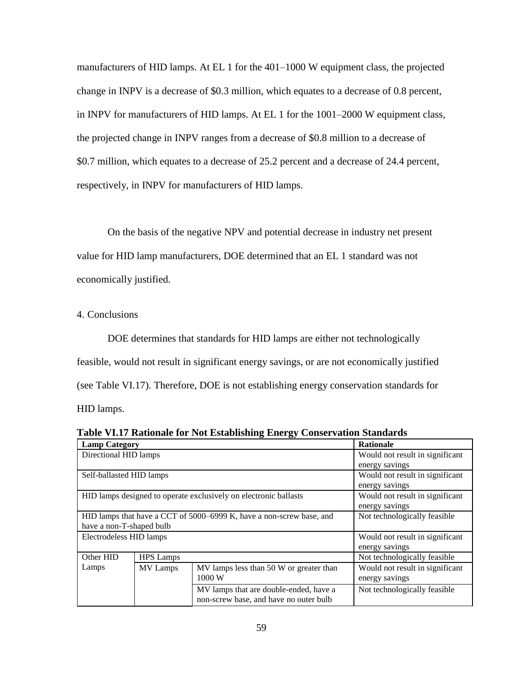change in INPV is a decrease of \$0.3 million, which equates to a decrease of 0.8 percent, the projected change in INPV ranges from a decrease of \$0.8 million to a decrease of \$0.7 million, which equates to a decrease of 25.2 percent and a decrease of 24.4 percent, respectively, in INPV for manufacturers of HID lamps. manufacturers of HID lamps. At EL 1 for the 401–1000 W equipment class, the projected in INPV for manufacturers of HID lamps. At EL 1 for the 1001–2000 W equipment class,

 On the basis of the negative NPV and potential decrease in industry net present value for HID lamp manufacturers, DOE determined that an EL 1 standard was not economically justified.

<span id="page-59-0"></span>4. Conclusions

 DOE determines that standards for HID lamps are either not technologically (see [Table VI.17\)](#page-59-1). Therefore, DOE is not establishing energy conservation standards for HID lamps. feasible, would not result in significant energy savings, or are not economically justified

<span id="page-59-1"></span>

|  |  |  | Table VI.17 Rationale for Not Establishing Energy Conservation Standards |  |
|--|--|--|--------------------------------------------------------------------------|--|
|  |  |  |                                                                          |  |

| <b>Lamp Category</b>     |                                                                      | <b>Rationale</b>                                                 |                                 |
|--------------------------|----------------------------------------------------------------------|------------------------------------------------------------------|---------------------------------|
| Directional HID lamps    |                                                                      |                                                                  | Would not result in significant |
|                          |                                                                      |                                                                  | energy savings                  |
| Self-ballasted HID lamps |                                                                      |                                                                  | Would not result in significant |
|                          |                                                                      |                                                                  | energy savings                  |
|                          |                                                                      | HID lamps designed to operate exclusively on electronic ballasts | Would not result in significant |
|                          |                                                                      |                                                                  | energy savings                  |
|                          | HID lamps that have a CCT of 5000–6999 K, have a non-screw base, and | Not technologically feasible                                     |                                 |
| have a non-T-shaped bulb |                                                                      |                                                                  |                                 |
| Electrodeless HID lamps  |                                                                      | Would not result in significant                                  |                                 |
|                          |                                                                      |                                                                  | energy savings                  |
| Other HID                | <b>HPS</b> Lamps                                                     |                                                                  | Not technologically feasible    |
| Lamps                    | <b>MV</b> Lamps                                                      | MV lamps less than 50 W or greater than                          | Would not result in significant |
|                          |                                                                      | 1000 W                                                           | energy savings                  |
|                          |                                                                      | MV lamps that are double-ended, have a                           | Not technologically feasible    |
|                          |                                                                      | non-screw base, and have no outer bulb                           |                                 |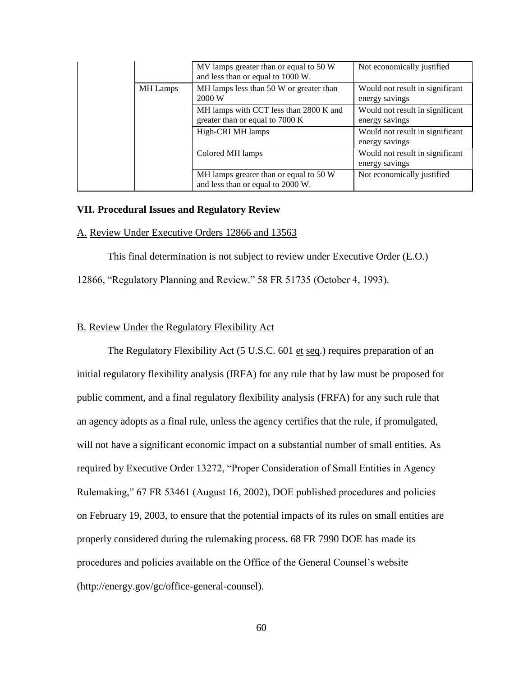|                 | MV lamps greater than or equal to 50 W<br>and less than or equal to 1000 W. | Not economically justified                        |
|-----------------|-----------------------------------------------------------------------------|---------------------------------------------------|
| <b>MH</b> Lamps | MH lamps less than 50 W or greater than<br>2000 W                           | Would not result in significant<br>energy savings |
|                 | MH lamps with CCT less than 2800 K and<br>greater than or equal to 7000 K   | Would not result in significant<br>energy savings |
|                 | High-CRI MH lamps                                                           | Would not result in significant<br>energy savings |
|                 | Colored MH lamps                                                            | Would not result in significant<br>energy savings |
|                 | MH lamps greater than or equal to 50 W<br>and less than or equal to 2000 W. | Not economically justified                        |

#### <span id="page-60-0"></span>**VII. Procedural Issues and Regulatory Review**

#### <span id="page-60-1"></span>A. Review Under Executive Orders 12866 and 13563

This final determination is not subject to review under Executive Order (E.O.) 12866, "Regulatory Planning and Review." 58 FR 51735 (October 4, 1993).

#### <span id="page-60-2"></span>B. Review Under the Regulatory Flexibility Act

 initial regulatory flexibility analysis (IRFA) for any rule that by law must be proposed for The Regulatory Flexibility Act (5 U.S.C. 601 et seq.) requires preparation of an public comment, and a final regulatory flexibility analysis (FRFA) for any such rule that an agency adopts as a final rule, unless the agency certifies that the rule, if promulgated, will not have a significant economic impact on a substantial number of small entities. As required by Executive Order 13272, "Proper Consideration of Small Entities in Agency Rulemaking," 67 FR 53461 (August 16, 2002), DOE published procedures and policies on February 19, 2003, to ensure that the potential impacts of its rules on small entities are properly considered during the rulemaking process. 68 FR 7990 DOE has made its procedures and policies available on the Office of the General Counsel's website (http://energy.gov/gc/office-general-counsel).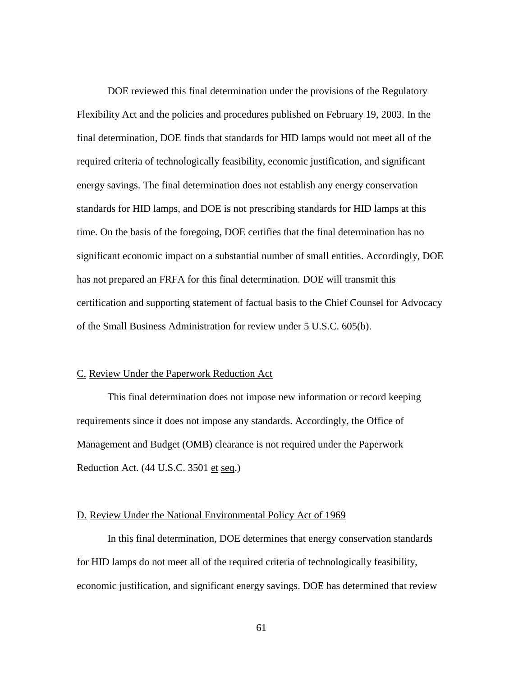Flexibility Act and the policies and procedures published on February 19, 2003. In the final determination, DOE finds that standards for HID lamps would not meet all of the energy savings. The final determination does not establish any energy conservation standards for HID lamps, and DOE is not prescribing standards for HID lamps at this time. On the basis of the foregoing, DOE certifies that the final determination has no certification and supporting statement of factual basis to the Chief Counsel for Advocacy DOE reviewed this final determination under the provisions of the Regulatory required criteria of technologically feasibility, economic justification, and significant significant economic impact on a substantial number of small entities. Accordingly, DOE has not prepared an FRFA for this final determination. DOE will transmit this of the Small Business Administration for review under 5 U.S.C. 605(b).

#### <span id="page-61-0"></span>C. Review Under the Paperwork Reduction Act

 This final determination does not impose new information or record keeping Reduction Act. (44 U.S.C. 3501 et seq.) requirements since it does not impose any standards. Accordingly, the Office of Management and Budget (OMB) clearance is not required under the Paperwork

#### <span id="page-61-1"></span>D. Review Under the National Environmental Policy Act of 1969

 economic justification, and significant energy savings. DOE has determined that review In this final determination, DOE determines that energy conservation standards for HID lamps do not meet all of the required criteria of technologically feasibility,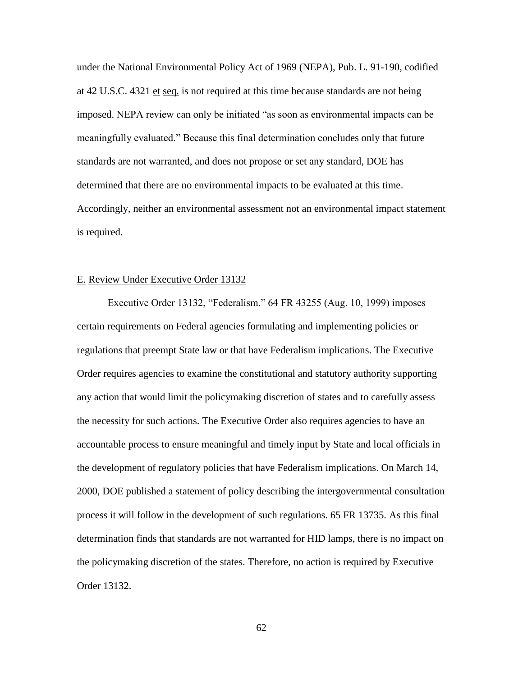at 42 U.S.C. 4321 et seq. is not required at this time because standards are not being meaningfully evaluated." Because this final determination concludes only that future standards are not warranted, and does not propose or set any standard, DOE has under the National Environmental Policy Act of 1969 (NEPA), Pub. L. 91-190, codified imposed. NEPA review can only be initiated "as soon as environmental impacts can be determined that there are no environmental impacts to be evaluated at this time. Accordingly, neither an environmental assessment not an environmental impact statement is required.

#### <span id="page-62-0"></span>E. Review Under Executive Order 13132

 Order requires agencies to examine the constitutional and statutory authority supporting the policymaking discretion of the states. Therefore, no action is required by Executive Executive Order 13132, "Federalism." 64 FR 43255 (Aug. 10, 1999) imposes certain requirements on Federal agencies formulating and implementing policies or regulations that preempt State law or that have Federalism implications. The Executive any action that would limit the policymaking discretion of states and to carefully assess the necessity for such actions. The Executive Order also requires agencies to have an accountable process to ensure meaningful and timely input by State and local officials in the development of regulatory policies that have Federalism implications. On March 14, 2000, DOE published a statement of policy describing the intergovernmental consultation process it will follow in the development of such regulations. 65 FR 13735. As this final determination finds that standards are not warranted for HID lamps, there is no impact on Order 13132.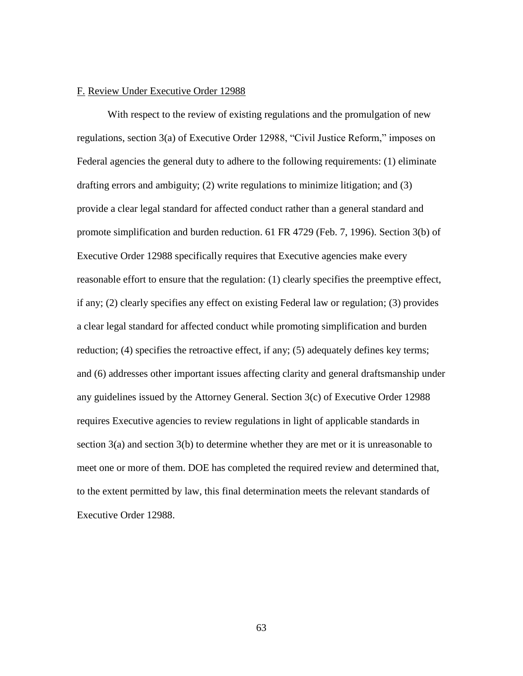#### <span id="page-63-0"></span>F. Review Under Executive Order 12988

section 3(a) and section 3(b) to determine whether they are met or it is unreasonable to With respect to the review of existing regulations and the promulgation of new regulations, section 3(a) of Executive Order 12988, "Civil Justice Reform," imposes on Federal agencies the general duty to adhere to the following requirements: (1) eliminate drafting errors and ambiguity; (2) write regulations to minimize litigation; and (3) provide a clear legal standard for affected conduct rather than a general standard and promote simplification and burden reduction. 61 FR 4729 (Feb. 7, 1996). Section 3(b) of Executive Order 12988 specifically requires that Executive agencies make every reasonable effort to ensure that the regulation: (1) clearly specifies the preemptive effect, if any; (2) clearly specifies any effect on existing Federal law or regulation; (3) provides a clear legal standard for affected conduct while promoting simplification and burden reduction; (4) specifies the retroactive effect, if any; (5) adequately defines key terms; and (6) addresses other important issues affecting clarity and general draftsmanship under any guidelines issued by the Attorney General. Section 3(c) of Executive Order 12988 requires Executive agencies to review regulations in light of applicable standards in meet one or more of them. DOE has completed the required review and determined that, to the extent permitted by law, this final determination meets the relevant standards of Executive Order 12988.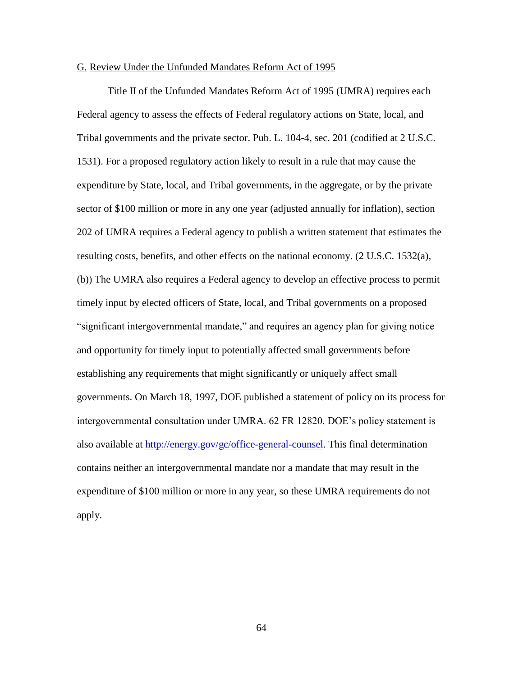#### <span id="page-64-0"></span>G. Review Under the Unfunded Mandates Reform Act of 1995

 contains neither an intergovernmental mandate nor a mandate that may result in the Title II of the Unfunded Mandates Reform Act of 1995 (UMRA) requires each Federal agency to assess the effects of Federal regulatory actions on State, local, and Tribal governments and the private sector. Pub. L. 104-4, sec. 201 (codified at 2 U.S.C. 1531). For a proposed regulatory action likely to result in a rule that may cause the expenditure by State, local, and Tribal governments, in the aggregate, or by the private sector of \$100 million or more in any one year (adjusted annually for inflation), section 202 of UMRA requires a Federal agency to publish a written statement that estimates the resulting costs, benefits, and other effects on the national economy. (2 U.S.C. 1532(a), (b)) The UMRA also requires a Federal agency to develop an effective process to permit timely input by elected officers of State, local, and Tribal governments on a proposed "significant intergovernmental mandate," and requires an agency plan for giving notice and opportunity for timely input to potentially affected small governments before establishing any requirements that might significantly or uniquely affect small governments. On March 18, 1997, DOE published a statement of policy on its process for intergovernmental consultation under UMRA. 62 FR 12820. DOE's policy statement is also available at [http://energy.gov/gc/office-general-counsel.](http://energy.gov/gc/office-general-counsel) This final determination expenditure of \$100 million or more in any year, so these UMRA requirements do not apply.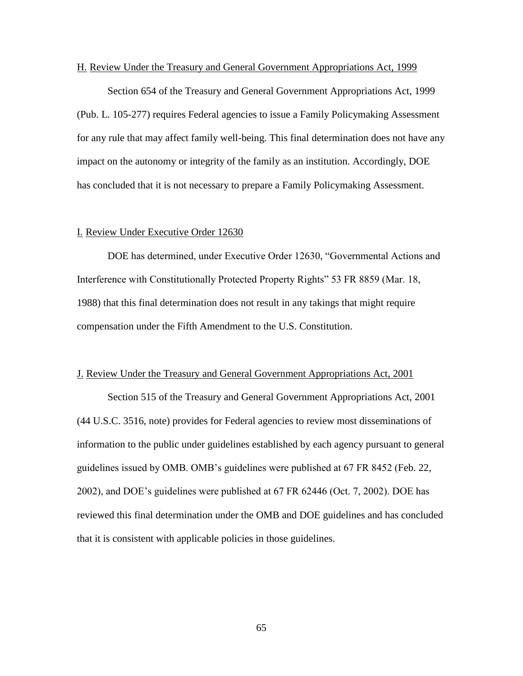#### <span id="page-65-0"></span>H. Review Under the Treasury and General Government Appropriations Act, 1999

Section 654 of the Treasury and General Government Appropriations Act, 1999 (Pub. L. 105-277) requires Federal agencies to issue a Family Policymaking Assessment for any rule that may affect family well-being. This final determination does not have any impact on the autonomy or integrity of the family as an institution. Accordingly, DOE has concluded that it is not necessary to prepare a Family Policymaking Assessment.

#### <span id="page-65-1"></span>I. Review Under Executive Order 12630

DOE has determined, under Executive Order 12630, "Governmental Actions and Interference with Constitutionally Protected Property Rights" 53 FR 8859 (Mar. 18, 1988) that this final determination does not result in any takings that might require compensation under the Fifth Amendment to the U.S. Constitution.

#### <span id="page-65-2"></span>J. Review Under the Treasury and General Government Appropriations Act, 2001

Section 515 of the Treasury and General Government Appropriations Act, 2001 (44 U.S.C. 3516, note) provides for Federal agencies to review most disseminations of information to the public under guidelines established by each agency pursuant to general guidelines issued by OMB. OMB's guidelines were published at 67 FR 8452 (Feb. 22, 2002), and DOE's guidelines were published at 67 FR 62446 (Oct. 7, 2002). DOE has reviewed this final determination under the OMB and DOE guidelines and has concluded that it is consistent with applicable policies in those guidelines.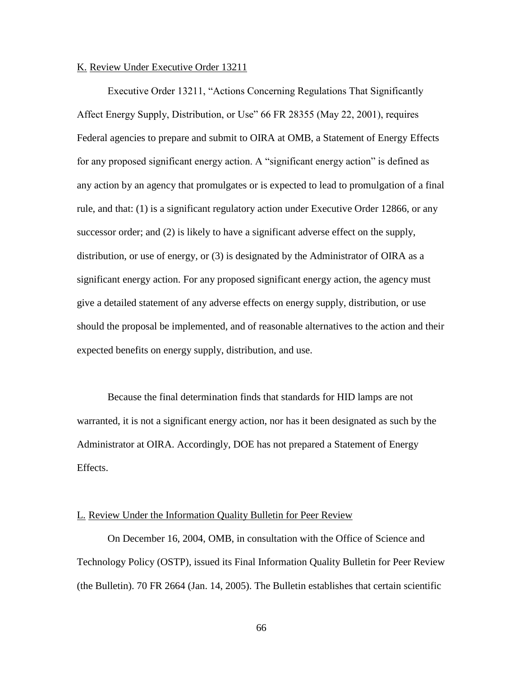#### <span id="page-66-0"></span>K. Review Under Executive Order 13211

 Federal agencies to prepare and submit to OIRA at OMB, a Statement of Energy Effects Executive Order 13211, "Actions Concerning Regulations That Significantly Affect Energy Supply, Distribution, or Use" 66 FR 28355 (May 22, 2001), requires for any proposed significant energy action. A "significant energy action" is defined as any action by an agency that promulgates or is expected to lead to promulgation of a final rule, and that: (1) is a significant regulatory action under Executive Order 12866, or any successor order; and (2) is likely to have a significant adverse effect on the supply, distribution, or use of energy, or (3) is designated by the Administrator of OIRA as a significant energy action. For any proposed significant energy action, the agency must give a detailed statement of any adverse effects on energy supply, distribution, or use should the proposal be implemented, and of reasonable alternatives to the action and their expected benefits on energy supply, distribution, and use.

 Because the final determination finds that standards for HID lamps are not warranted, it is not a significant energy action, nor has it been designated as such by the Administrator at OIRA. Accordingly, DOE has not prepared a Statement of Energy Effects.

#### <span id="page-66-1"></span>L. Review Under the Information Quality Bulletin for Peer Review

On December 16, 2004, OMB, in consultation with the Office of Science and Technology Policy (OSTP), issued its Final Information Quality Bulletin for Peer Review (the Bulletin). 70 FR 2664 (Jan. 14, 2005). The Bulletin establishes that certain scientific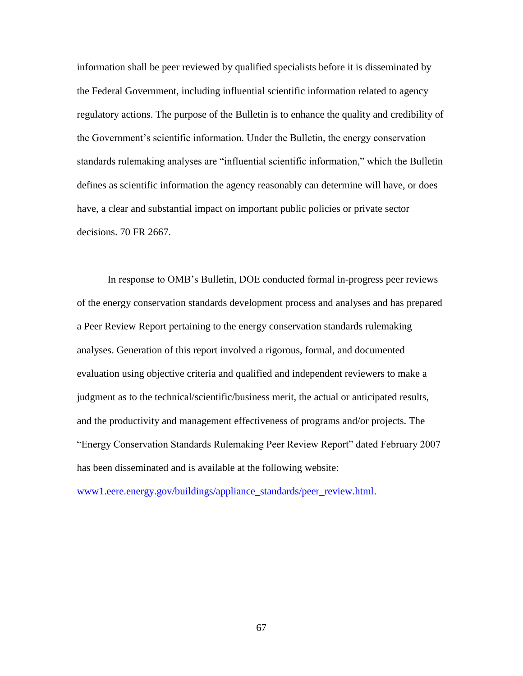information shall be peer reviewed by qualified specialists before it is disseminated by the Federal Government, including influential scientific information related to agency regulatory actions. The purpose of the Bulletin is to enhance the quality and credibility of the Government's scientific information. Under the Bulletin, the energy conservation standards rulemaking analyses are "influential scientific information," which the Bulletin defines as scientific information the agency reasonably can determine will have, or does have, a clear and substantial impact on important public policies or private sector decisions. 70 FR 2667.

In response to OMB's Bulletin, DOE conducted formal in-progress peer reviews of the energy conservation standards development process and analyses and has prepared a Peer Review Report pertaining to the energy conservation standards rulemaking analyses. Generation of this report involved a rigorous, formal, and documented evaluation using objective criteria and qualified and independent reviewers to make a judgment as to the technical/scientific/business merit, the actual or anticipated results, and the productivity and management effectiveness of programs and/or projects. The "Energy Conservation Standards Rulemaking Peer Review Report" dated February 2007 has been disseminated and is available at the following website:

[www1.eere.energy.gov/buildings/appliance\\_standards/peer\\_review.html.](https://www1.eere.energy.gov/buildings/appliance_standards/peer_review.html)